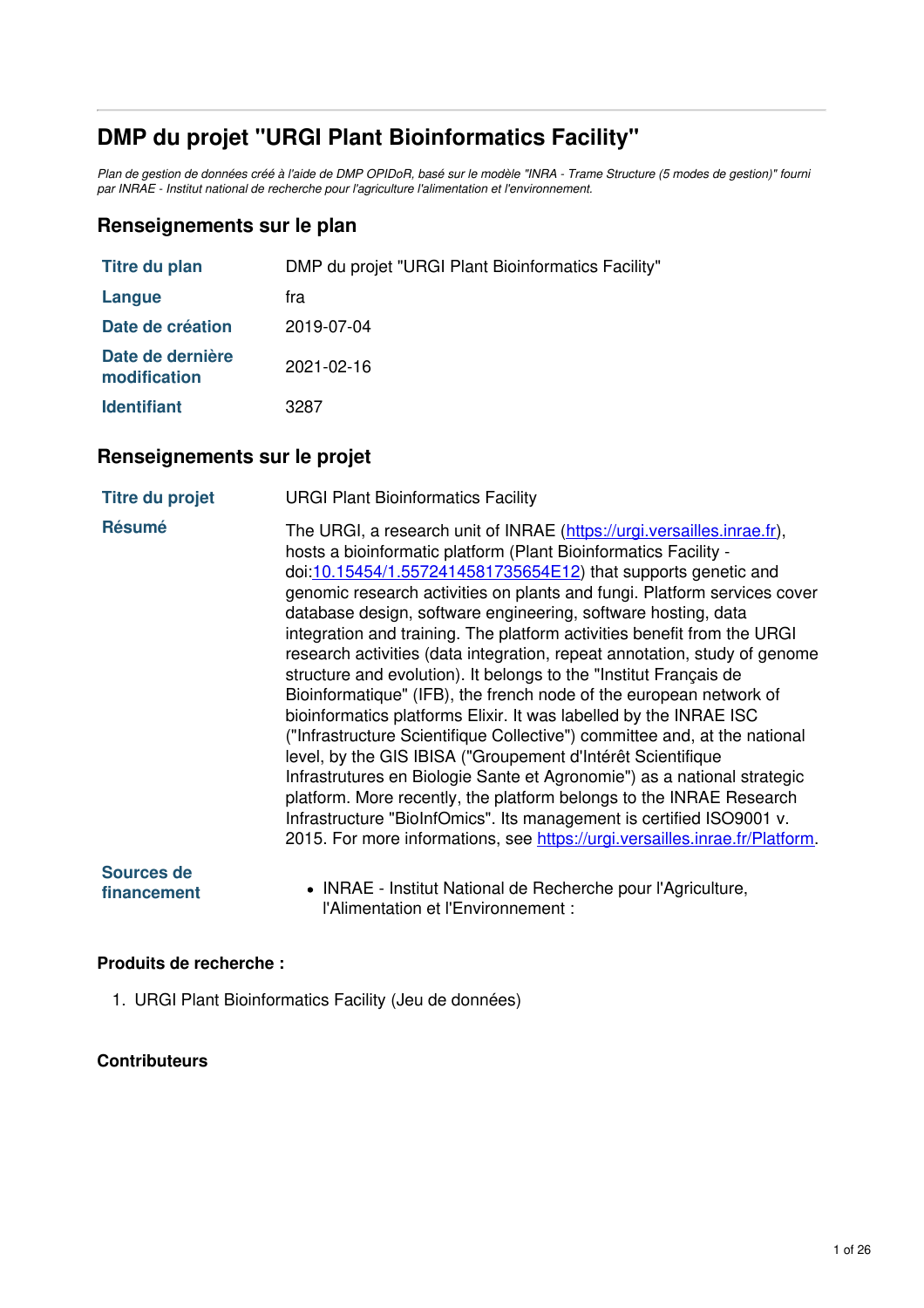# **DMP du projet "URGI Plant Bioinformatics Facility"**

Plan de gestion de données créé à l'aide de DMP OPIDoR, basé sur le modèle "INRA - Trame Structure (5 modes de gestion)" fourni *par INRAE - Institut national de recherche pour l'agriculture l'alimentation et l'environnement.*

#### **Renseignements sur le plan**

| <b>Titre du plan</b>             | DMP du projet "URGI Plant Bioinformatics Facility" |
|----------------------------------|----------------------------------------------------|
| Langue                           | tra                                                |
| Date de création                 | 2019-07-04                                         |
| Date de dernière<br>modification | 2021-02-16                                         |
| <b>Identifiant</b>               | 3287                                               |

### **Renseignements sur le projet**

| <b>Titre du projet</b>           | <b>URGI Plant Bioinformatics Facility</b>                                                                                                                                                                                                                                                                                                                                                                                                                                                                                                                                                                                                                                                                                                                                                                                                                                                                                                                                                                                                                                                                                                                                            |
|----------------------------------|--------------------------------------------------------------------------------------------------------------------------------------------------------------------------------------------------------------------------------------------------------------------------------------------------------------------------------------------------------------------------------------------------------------------------------------------------------------------------------------------------------------------------------------------------------------------------------------------------------------------------------------------------------------------------------------------------------------------------------------------------------------------------------------------------------------------------------------------------------------------------------------------------------------------------------------------------------------------------------------------------------------------------------------------------------------------------------------------------------------------------------------------------------------------------------------|
| <b>Résumé</b>                    | The URGI, a research unit of INRAE (https://urgi.versailles.inrae.fr),<br>hosts a bioinformatic platform (Plant Bioinformatics Facility -<br>doi:10.15454/1.5572414581735654E12) that supports genetic and<br>genomic research activities on plants and fungi. Platform services cover<br>database design, software engineering, software hosting, data<br>integration and training. The platform activities benefit from the URGI<br>research activities (data integration, repeat annotation, study of genome<br>structure and evolution). It belongs to the "Institut Français de<br>Bioinformatique" (IFB), the french node of the european network of<br>bioinformatics platforms Elixir. It was labelled by the INRAE ISC<br>("Infrastructure Scientifique Collective") committee and, at the national<br>level, by the GIS IBISA ("Groupement d'Intérêt Scientifique<br>Infrastrutures en Biologie Sante et Agronomie") as a national strategic<br>platform. More recently, the platform belongs to the INRAE Research<br>Infrastructure "BioInfOmics". Its management is certified ISO9001 v.<br>2015. For more informations, see https://urgi.versailles.inrae.fr/Platform. |
| <b>Sources de</b><br>financement | • INRAE - Institut National de Recherche pour l'Agriculture,<br>l'Alimentation et l'Environnement :                                                                                                                                                                                                                                                                                                                                                                                                                                                                                                                                                                                                                                                                                                                                                                                                                                                                                                                                                                                                                                                                                  |

#### **Produits de recherche :**

1. URGI Plant Bioinformatics Facility (Jeu de données)

#### **Contributeurs**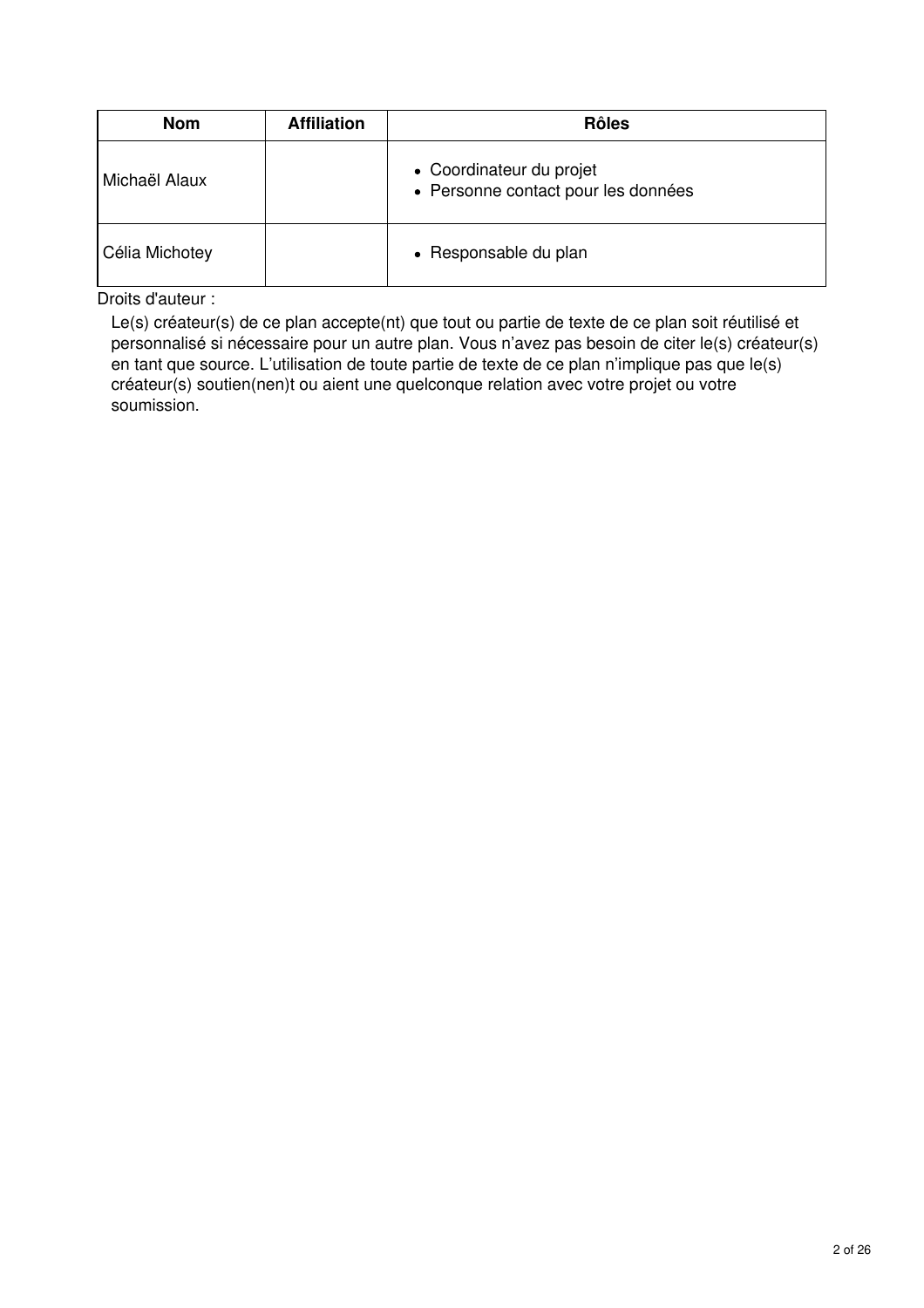| <b>Nom</b>     | <b>Affiliation</b> | <b>Rôles</b>                                                    |
|----------------|--------------------|-----------------------------------------------------------------|
| Michaël Alaux  |                    | • Coordinateur du projet<br>• Personne contact pour les données |
| Célia Michotey |                    | • Responsable du plan                                           |

Droits d'auteur :

Le(s) créateur(s) de ce plan accepte(nt) que tout ou partie de texte de ce plan soit réutilisé et personnalisé si nécessaire pour un autre plan. Vous n'avez pas besoin de citer le(s) créateur(s) en tant que source. L'utilisation de toute partie de texte de ce plan n'implique pas que le(s) créateur(s) soutien(nen)t ou aient une quelconque relation avec votre projet ou votre soumission.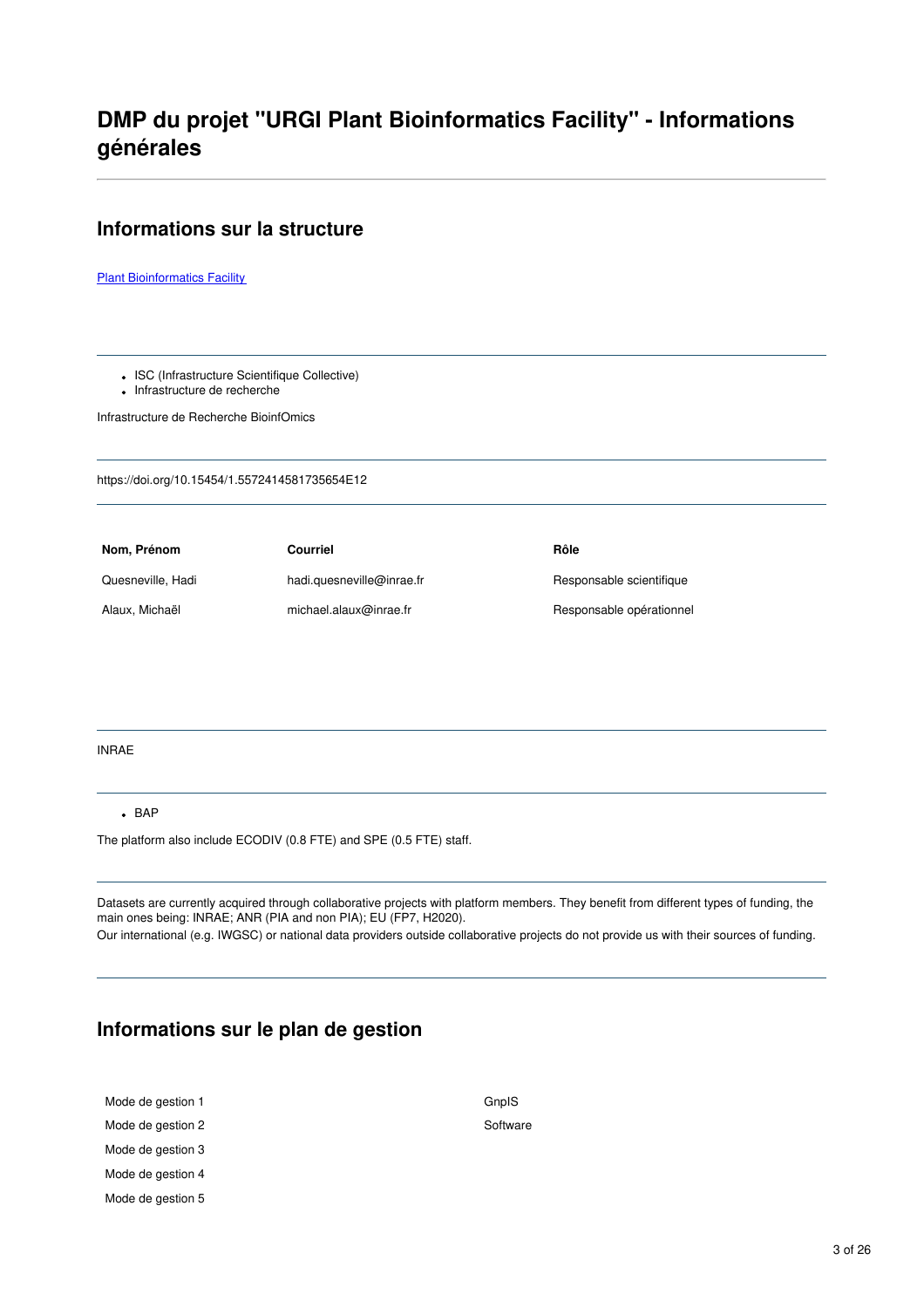## **DMP du projet "URGI Plant Bioinformatics Facility" - Informations générales**

#### **Informations sur la structure**

**Plant [Bioinformatics](https://urgi.versailles.inrae.fr/Platform) Facility** 

• ISC (Infrastructure Scientifique Collective)

• Infrastructure de recherche

Infrastructure de Recherche BioinfOmics

https://doi.org/10.15454/1.5572414581735654E12

**Nom, Prénom Courriel Rôle** Quesneville, Hadi hadi.quesneville@inrae.fr Responsable scientifique Alaux, Michaël michael.alaux@inrae.fr Responsable opérationnel

#### INRAE

#### $-BAP$

The platform also include ECODIV (0.8 FTE) and SPE (0.5 FTE) staff.

Datasets are currently acquired through collaborative projects with platform members. They benefit from different types of funding, the main ones being: INRAE; ANR (PIA and non PIA); EU (FP7, H2020).

Our international (e.g. IWGSC) or national data providers outside collaborative projects do not provide us with their sources of funding.

#### **Informations sur le plan de gestion**

| Mode de gestion 1 | GnpIS    |
|-------------------|----------|
| Mode de gestion 2 | Software |
| Mode de gestion 3 |          |
| Mode de gestion 4 |          |
| Mode de gestion 5 |          |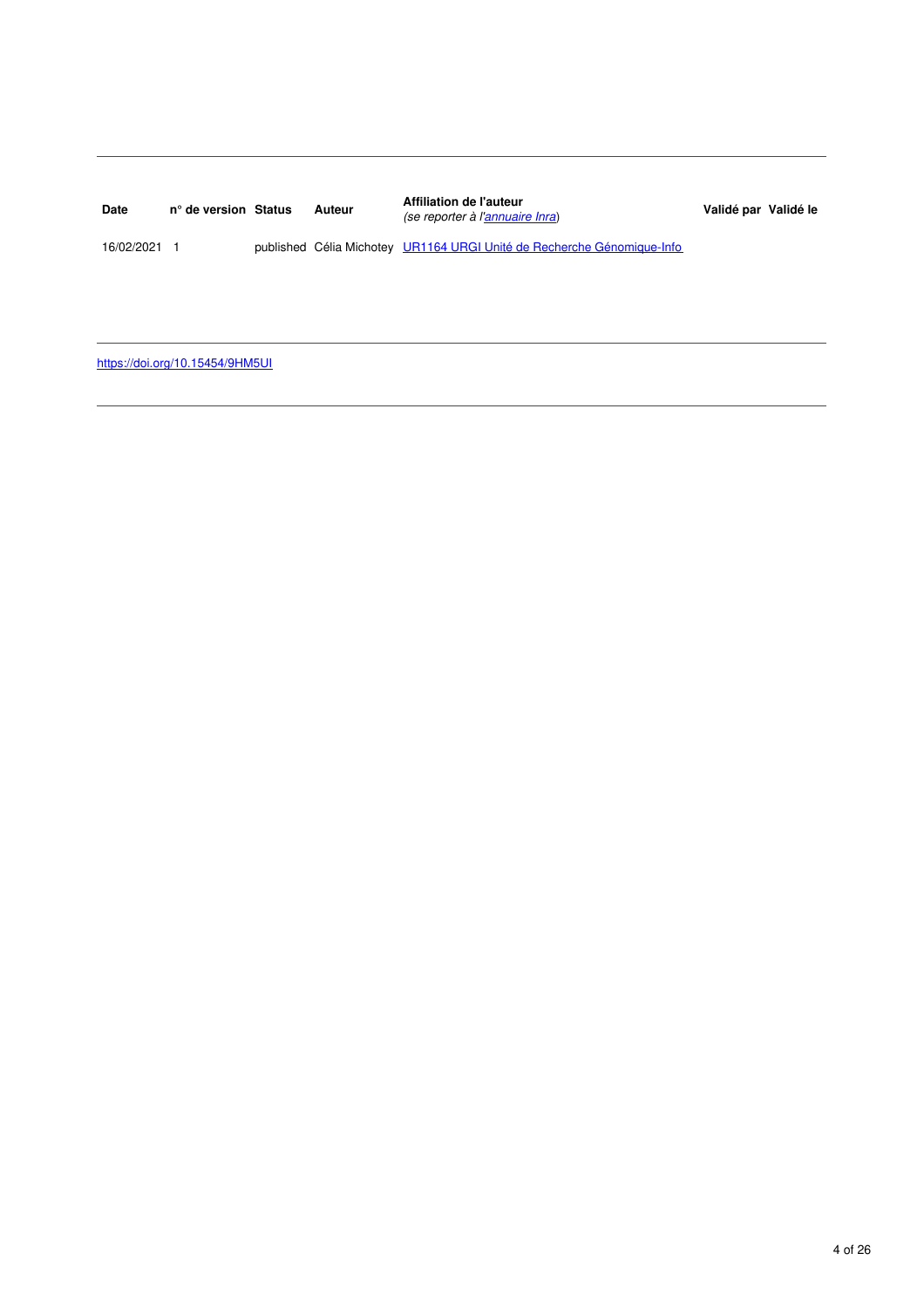| <b>Date</b> | n° de version Status | Auteur | Affiliation de l'auteur<br>(se reporter à l'annuaire Inra)             | Validé par Validé le |
|-------------|----------------------|--------|------------------------------------------------------------------------|----------------------|
| 16/02/2021  |                      |        | published Célia Michotey UR1164 URGI Unité de Recherche Génomique-Info |                      |

<https://doi.org/10.15454/9HM5UI>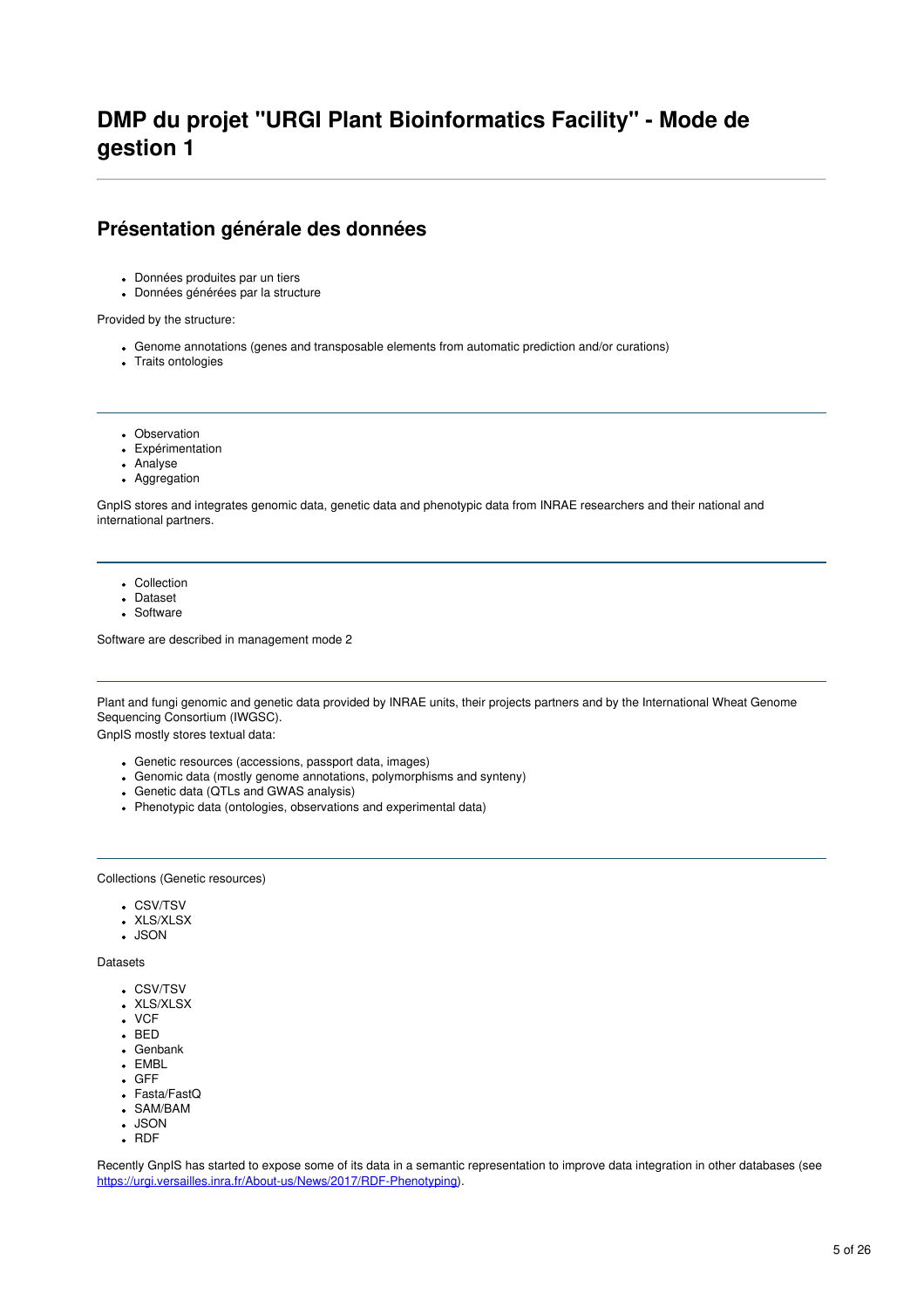### **DMP du projet "URGI Plant Bioinformatics Facility" - Mode de gestion 1**

#### **Présentation générale des données**

- Données produites par un tiers
- Données générées par la structure

Provided by the structure:

- Genome annotations (genes and transposable elements from automatic prediction and/or curations)
- Traits ontologies
- Observation
- Expérimentation
- Analyse
- Aggregation

GnpIS stores and integrates genomic data, genetic data and phenotypic data from INRAE researchers and their national and international partners.

- Collection
- Dataset
- Software

Software are described in management mode 2

Plant and fungi genomic and genetic data provided by INRAE units, their projects partners and by the International Wheat Genome Sequencing Consortium (IWGSC).

GnpIS mostly stores textual data:

- Genetic resources (accessions, passport data, images)
- Genomic data (mostly genome annotations, polymorphisms and synteny)
- Genetic data (QTLs and GWAS analysis)
- Phenotypic data (ontologies, observations and experimental data)

Collections (Genetic resources)

- CSV/TSV
- XLS/XLSX
- $\cdot$  JSON

Datasets

- CSV/TSV
- XLS/XLSX
- VCF
- $-BED$
- Genbank • EMBL
- GFF
- 
- Fasta/FastQ SAM/BAM
- JSON
- $\cdot$  RDF

Recently GnpIS has started to expose some of its data in a semantic representation to improve data integration in other databases (see <https://urgi.versailles.inra.fr/About-us/News/2017/RDF-Phenotyping>).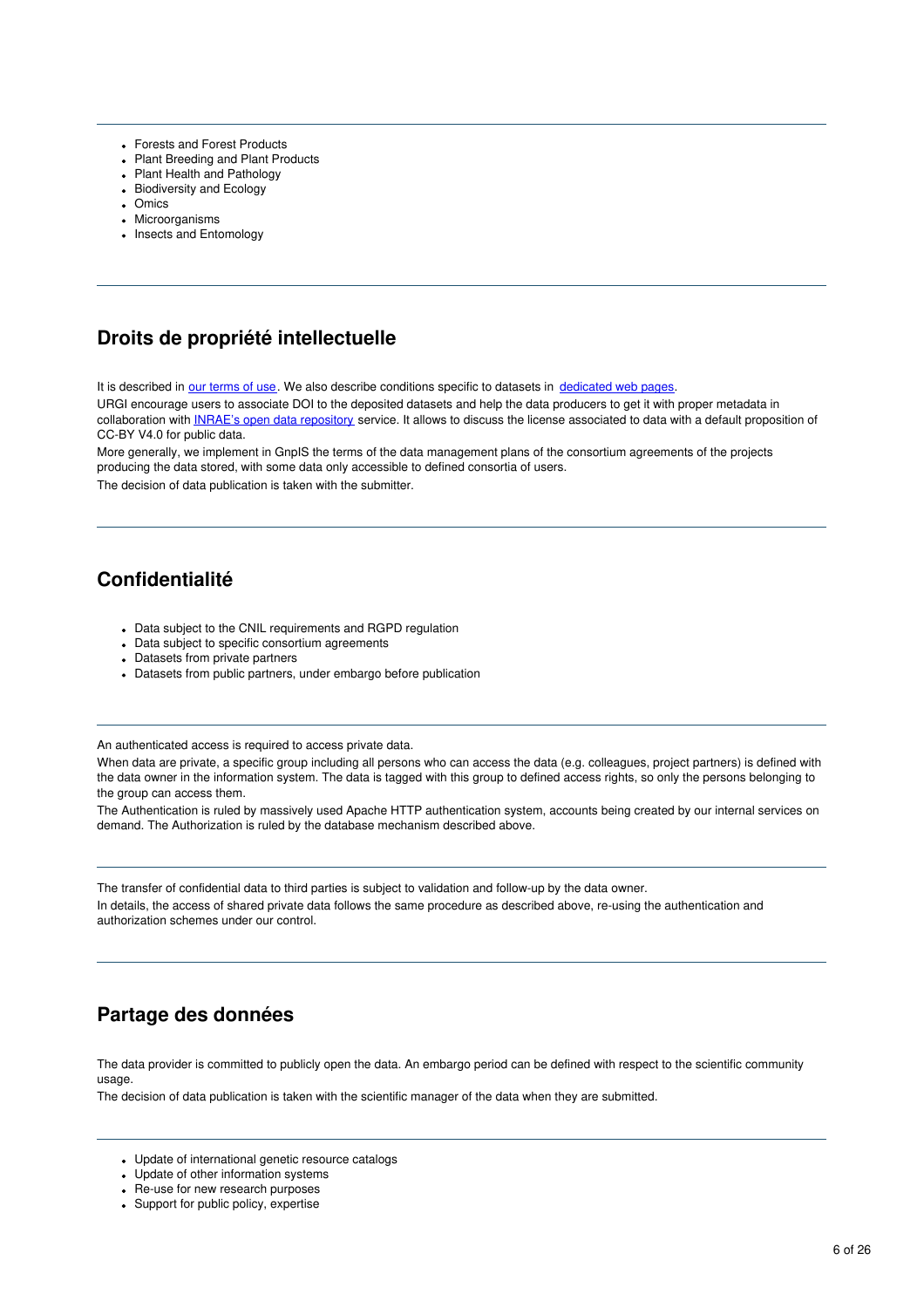- Forests and Forest Products
- Plant Breeding and Plant Products
- Plant Health and Pathology
- Biodiversity and Ecology
- Omics
- Microorganisms
- Insects and Entomology

### **Droits de propriété intellectuelle**

It is described in our [terms](https://urgi.versailles.inrae.fr/General-Terms-of-Use) of use. We also describe conditions specific to datasets in [dedicated](http://www.wheatgenome.org/Tools-and-Resources) web pages.

URGI encourage users to associate DOI to the deposited datasets and help the data producers to get it with proper metadata in collaboration with INRAE's open data [repository](https://data.inrae.fr) service. It allows to discuss the license associated to data with a default proposition of CC-BY V4.0 for public data.

More generally, we implement in GnpIS the terms of the data management plans of the consortium agreements of the projects producing the data stored, with some data only accessible to defined consortia of users. The decision of data publication is taken with the submitter.

### **Confidentialité**

- Data subject to the CNIL requirements and RGPD requiation
- Data subject to specific consortium agreements
- Datasets from private partners
- Datasets from public partners, under embargo before publication

An authenticated access is required to access private data.

When data are private, a specific group including all persons who can access the data (e.g. colleagues, project partners) is defined with the data owner in the information system. The data is tagged with this group to defined access rights, so only the persons belonging to the group can access them.

The Authentication is ruled by massively used Apache HTTP authentication system, accounts being created by our internal services on demand. The Authorization is ruled by the database mechanism described above.

The transfer of confidential data to third parties is subject to validation and follow-up by the data owner. In details, the access of shared private data follows the same procedure as described above, re-using the authentication and authorization schemes under our control.

### **Partage des données**

The data provider is committed to publicly open the data. An embargo period can be defined with respect to the scientific community usage.

The decision of data publication is taken with the scientific manager of the data when they are submitted.

- Update of international genetic resource catalogs
- Update of other information systems
- Re-use for new research purposes
- Support for public policy, expertise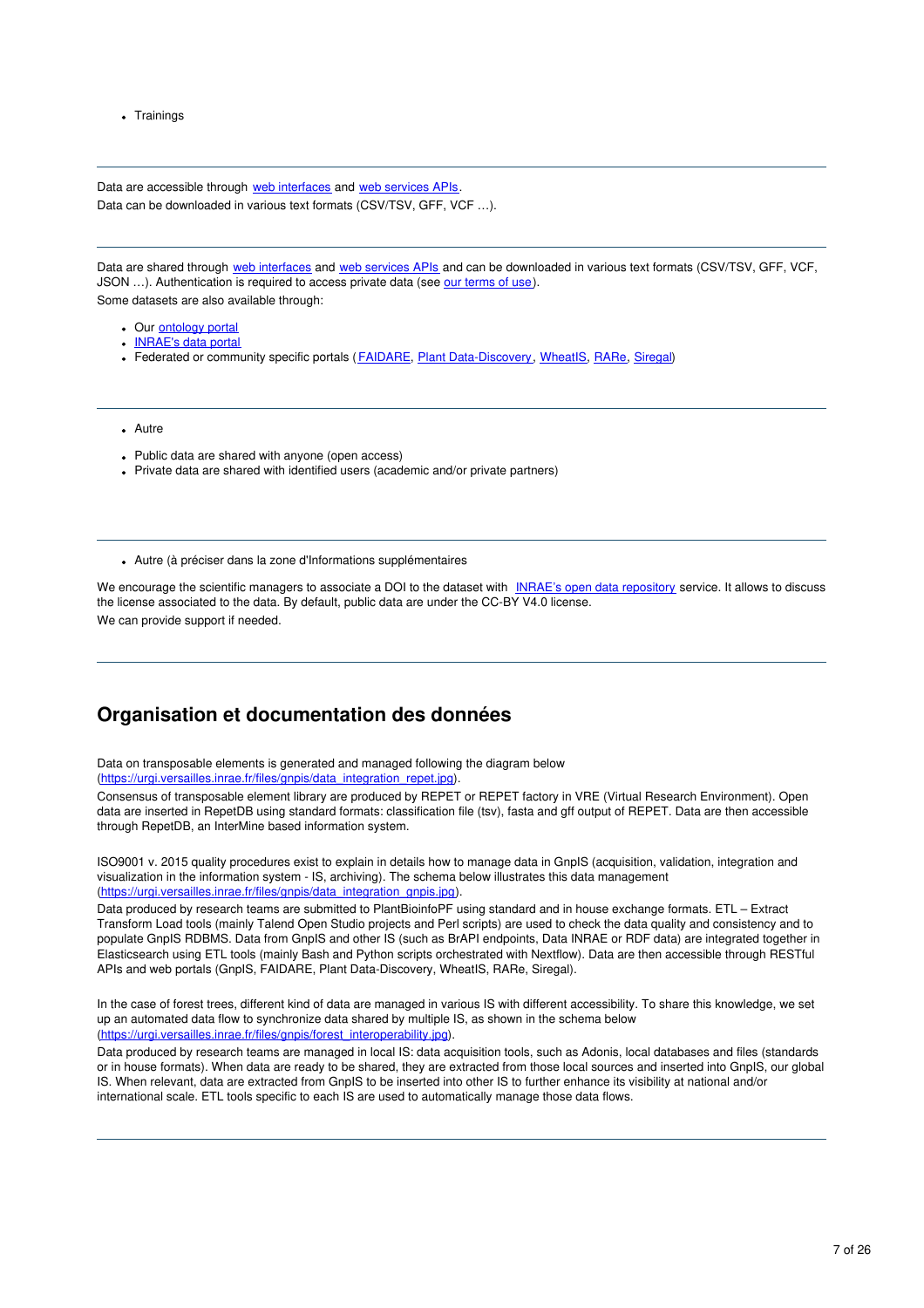• Trainings

Data are accessible through web [interfaces](https://urgi.versailles.inrae.fr/gnpis) and web [services](https://urgi.versailles.inrae.fr/Tools/Web-services) APIs. Data can be downloaded in various text formats (CSV/TSV, GFF, VCF …).

Data are shared through web [interfaces](https://urgi.versailles.inrae.fr/gnpis) and web [services](https://urgi.versailles.inrae.fr/Tools/Web-services) APIs and can be downloaded in various text formats (CSV/TSV, GFF, VCF, JSON …). Authentication is required to access private data (see our [terms](https://urgi.versailles.inrae.fr/General-Terms-of-Use) of use). Some datasets are also available through:

- Our **[ontology](https://urgi.versailles.inrae.fr/ontologyportal.do)** portal
- [INRAE's](https://data.inrae.fr/) data portal
- Federated or community specific portals ([FAIDARE](https://urgi.versailles.inrae.fr/faidare/), Plant [Data-Discovery](https://urgi.versailles.inrae.fr/data-discovery/), [WheatIS](https://urgi.versailles.inrae.fr/wheatis/), [RARe,](https://urgi.versailles.inrae.fr/rare/) [Siregal](https://urgi.versailles.inrae.fr/siregal/siregal/grc.do))
- Autre
- Public data are shared with anyone (open access)
- Private data are shared with identified users (academic and/or private partners)
- Autre (à préciser dans la zone d'Informations supplémentaires

We encourage the scientific managers to associate a DOI to the dataset with INRAE's open data [repository](https://data.inrae.fr/) service. It allows to discuss the license associated to the data. By default, public data are under the CC-BY V4.0 license. We can provide support if needed.

#### **Organisation et documentation des données**

Data on transposable elements is generated and managed following the diagram below [\(https://urgi.versailles.inrae.fr/files/gnpis/data\\_integration\\_repet.jpg](https://urgi.versailles.inrae.fr/files/gnpis/data_integration_repet.jpg)).

Consensus of transposable element library are produced by REPET or REPET factory in VRE (Virtual Research Environment). Open data are inserted in RepetDB using standard formats: classification file (tsv), fasta and gff output of REPET. Data are then accessible through RepetDB, an InterMine based information system.

ISO9001 v. 2015 quality procedures exist to explain in details how to manage data in GnpIS (acquisition, validation, integration and visualization in the information system - IS, archiving). The schema below illustrates this data management [\(https://urgi.versailles.inrae.fr/files/gnpis/data\\_integration\\_gnpis.jpg](https://urgi.versailles.inrae.fr/files/gnpis/data_integration_gnpis.jpg)).

Data produced by research teams are submitted to PlantBioinfoPF using standard and in house exchange formats. ETL – Extract Transform Load tools (mainly Talend Open Studio projects and Perl scripts) are used to check the data quality and consistency and to populate GnpIS RDBMS. Data from GnpIS and other IS (such as BrAPI endpoints, Data INRAE or RDF data) are integrated together in Elasticsearch using ETL tools (mainly Bash and Python scripts orchestrated with Nextflow). Data are then accessible through RESTful APIs and web portals (GnpIS, FAIDARE, Plant Data-Discovery, WheatIS, RARe, Siregal).

In the case of forest trees, different kind of data are managed in various IS with different accessibility. To share this knowledge, we set up an automated data flow to synchronize data shared by multiple IS, as shown in the schema below [\(https://urgi.versailles.inrae.fr/files/gnpis/forest\\_interoperability.jpg](https://urgi.versailles.inrae.fr/files/gnpis/forest_interoperability.jpg)).

Data produced by research teams are managed in local IS: data acquisition tools, such as Adonis, local databases and files (standards or in house formats). When data are ready to be shared, they are extracted from those local sources and inserted into GnpIS, our global IS. When relevant, data are extracted from GnpIS to be inserted into other IS to further enhance its visibility at national and/or international scale. ETL tools specific to each IS are used to automatically manage those data flows.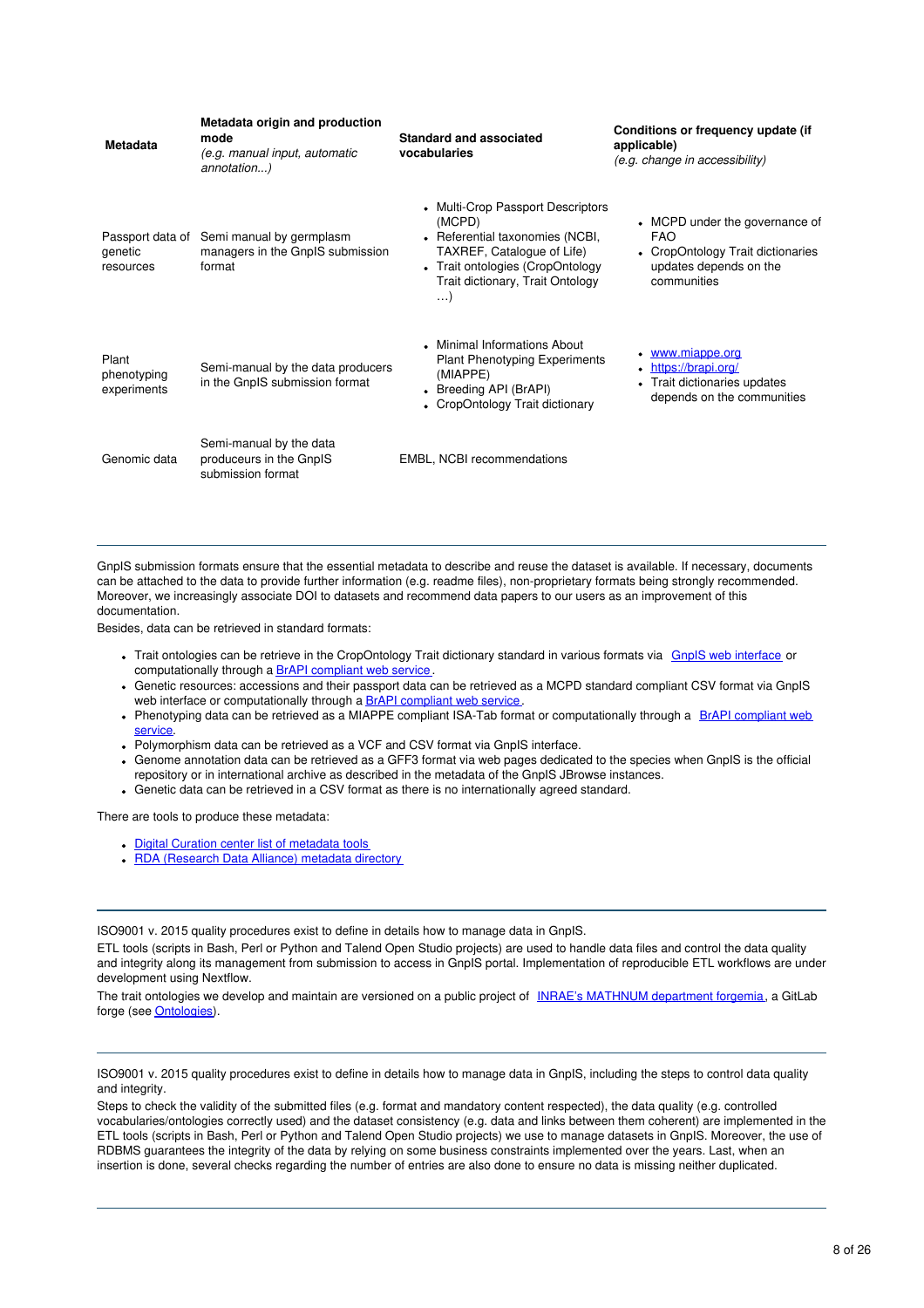| <b>Metadata</b>                          | Metadata origin and production<br>mode<br>(e.g. manual input, automatic<br>annotation) | <b>Standard and associated</b><br>vocabularies                                                                                                                                                   | Conditions or frequency update (if<br>applicable)<br>(e.g. change in accessibility)                                        |
|------------------------------------------|----------------------------------------------------------------------------------------|--------------------------------------------------------------------------------------------------------------------------------------------------------------------------------------------------|----------------------------------------------------------------------------------------------------------------------------|
| Passport data of<br>genetic<br>resources | Semi manual by germplasm<br>managers in the GnpIS submission<br>format                 | • Multi-Crop Passport Descriptors<br>(MCPD)<br>• Referential taxonomies (NCBI,<br>TAXREF, Catalogue of Life)<br>• Trait ontologies (CropOntology<br>Trait dictionary, Trait Ontology<br>$\ldots$ | • MCPD under the governance of<br><b>FAO</b><br>• CropOntology Trait dictionaries<br>updates depends on the<br>communities |
| Plant<br>phenotyping<br>experiments      | Semi-manual by the data producers<br>in the GnpIS submission format                    | • Minimal Informations About<br><b>Plant Phenotyping Experiments</b><br>(MIAPPE)<br>Breeding API (BrAPI)<br>• CropOntology Trait dictionary                                                      | www.miappe.org<br>$\bullet$<br>https://brapi.org/<br>$\bullet$<br>Trait dictionaries updates<br>depends on the communities |
| Genomic data                             | Semi-manual by the data<br>produceurs in the GnpIS<br>submission format                | EMBL, NCBI recommendations                                                                                                                                                                       |                                                                                                                            |

GnpIS submission formats ensure that the essential metadata to describe and reuse the dataset is available. If necessary, documents can be attached to the data to provide further information (e.g. readme files), non-proprietary formats being strongly recommended. Moreover, we increasingly associate DOI to datasets and recommend data papers to our users as an improvement of this documentation.

Besides, data can be retrieved in standard formats:

- Trait ontologies can be retrieve in the CropOntology Trait dictionary standard in various formats via GnpIS web [interface](https://urgi.versailles.inrae.fr/ontologyportal) or computationally through a **BrAPI** [compliant](https://urgi.versailles.inra.fr/faidare/swagger-ui.html#/Breeding_API) web service.
- Genetic resources: accessions and their passport data can be retrieved as a MCPD standard compliant CSV format via GnpIS web interface or computationally through a **BrAPI** [compliant](https://urgi.versailles.inra.fr/faidare/swagger-ui.html#/Breeding_API) web service.
- Phenotyping data can be retrieved as a MIAPPE compliant ISA-Tab format or [computationally](https://urgi.versailles.inrae.fr/faidare/swagger-ui.html#/Breeding_API) through a BrAPI compliant web service.
- Polymorphism data can be retrieved as a VCF and CSV format via GnpIS interface.
- Genome annotation data can be retrieved as a GFF3 format via web pages dedicated to the species when GnpIS is the official repository or in international archive as described in the metadata of the GnpIS JBrowse instances.
- Genetic data can be retrieved in a CSV format as there is no internationally agreed standard.

There are tools to produce these metadata:

- Digital Curation center list of [metadata](http://www.dcc.ac.uk/resources/metadata-standards/tools) tools
- RDA [\(Research](http://rd-alliance.github.io/metadata-directory/tools/) Data Alliance) metadata directory

ISO9001 v. 2015 quality procedures exist to define in details how to manage data in GnpIS.

ETL tools (scripts in Bash, Perl or Python and Talend Open Studio projects) are used to handle data files and control the data quality and integrity along its management from submission to access in GnpIS portal. Implementation of reproducible ETL workflows are under development using Nextflow.

The trait ontologies we develop and maintain are versioned on a public project of INRAE's [MATHNUM](https://forgemia.inra.fr/) department forgemia, a GitLab forge (see **[Ontologies](https://forgemia.inra.fr/urgi-is/ontologies)**).

ISO9001 v. 2015 quality procedures exist to define in details how to manage data in GnpIS, including the steps to control data quality and integrity.

Steps to check the validity of the submitted files (e.g. format and mandatory content respected), the data quality (e.g. controlled vocabularies/ontologies correctly used) and the dataset consistency (e.g. data and links between them coherent) are implemented in the ETL tools (scripts in Bash, Perl or Python and Talend Open Studio projects) we use to manage datasets in GnpIS. Moreover, the use of RDBMS guarantees the integrity of the data by relying on some business constraints implemented over the years. Last, when an insertion is done, several checks regarding the number of entries are also done to ensure no data is missing neither duplicated.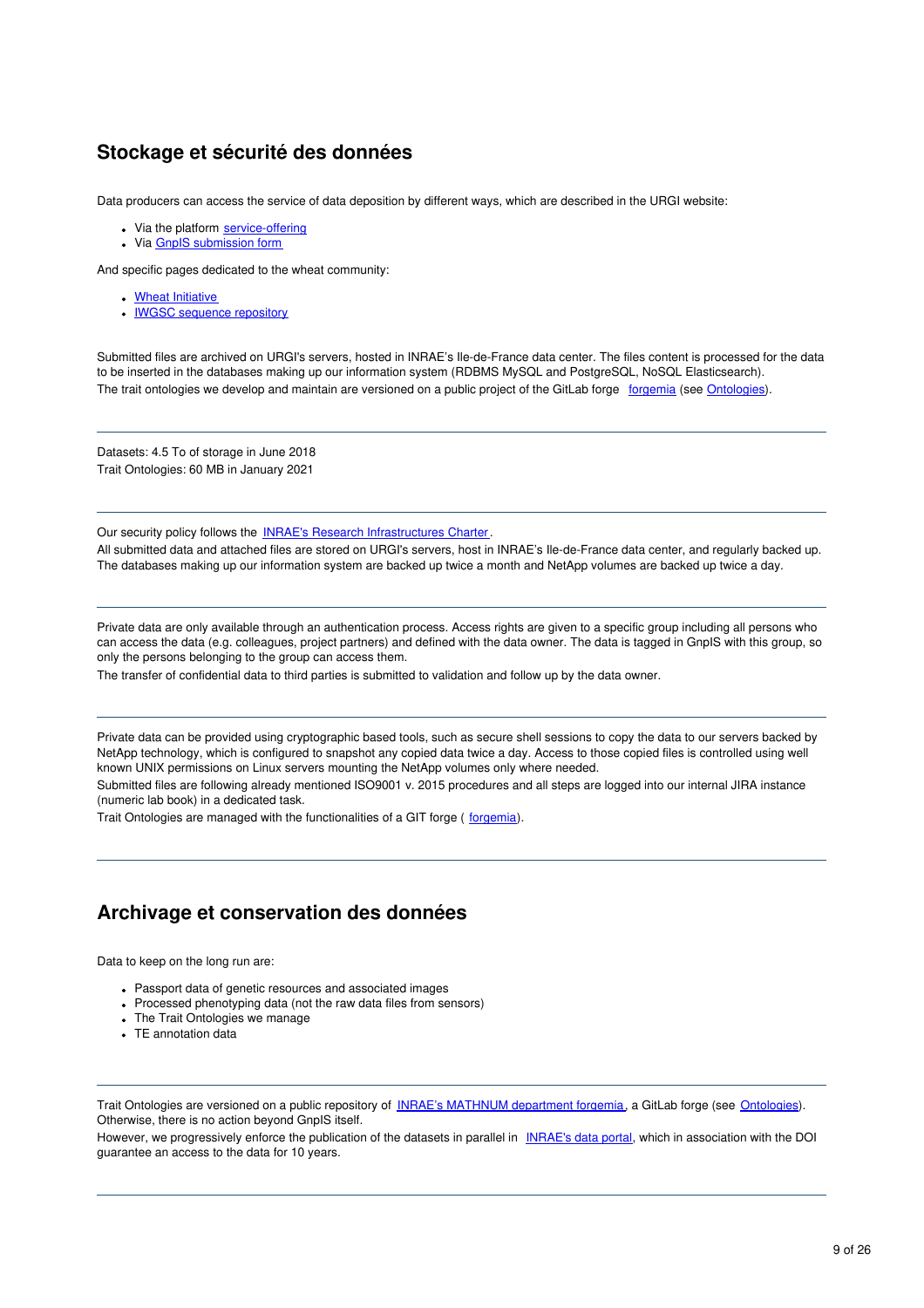### **Stockage et sécurité des données**

Data producers can access the service of data deposition by different ways, which are described in the URGI website:

- Via the platform [service-offering](https://urgi.versailles.inrae.fr/Platform/Service-offering)
- Via GnpIS [submission](https://urgi.versailles.inrae.fr/Data) form

And specific pages dedicated to the wheat community:

- Wheat [Initiative](http://wheatis.org/)
- **IWGSC sequence [repository](https://wheat-urgi.versailles.inra.fr/Seq-Repository)**

Submitted files are archived on URGI's servers, hosted in INRAE's Ile-de-France data center. The files content is processed for the data to be inserted in the databases making up our information system (RDBMS MySQL and PostgreSQL, NoSQL Elasticsearch). The trait ontologies we develop and maintain are versioned on a public project of the GitLab forge [forgemia](https://forgemia.inra.fr/) (see [Ontologies](https://forgemia.inra.fr/urgi-is/ontologies)).

Datasets: 4.5 To of storage in June 2018 Trait Ontologies: 60 MB in January 2021

Our security policy follows the **INRAE's Research [Infrastructures](https://www6.versailles-grignon.inrae.fr/observatoire-environnement/Page-d-accueil/Actualites/Charte-infrastructures-de-l-Inra) Charter**.

All submitted data and attached files are stored on URGI's servers, host in INRAE's Ile-de-France data center, and regularly backed up. The databases making up our information system are backed up twice a month and NetApp volumes are backed up twice a day.

Private data are only available through an authentication process. Access rights are given to a specific group including all persons who can access the data (e.g. colleagues, project partners) and defined with the data owner. The data is tagged in GnpIS with this group, so only the persons belonging to the group can access them.

The transfer of confidential data to third parties is submitted to validation and follow up by the data owner.

Private data can be provided using cryptographic based tools, such as secure shell sessions to copy the data to our servers backed by NetApp technology, which is configured to snapshot any copied data twice a day. Access to those copied files is controlled using well known UNIX permissions on Linux servers mounting the NetApp volumes only where needed.

Submitted files are following already mentioned ISO9001 v. 2015 procedures and all steps are logged into our internal JIRA instance (numeric lab book) in a dedicated task.

Trait Ontologies are managed with the functionalities of a GIT forge ([forgemia](https://forgemia.inra.fr/)).

#### **Archivage et conservation des données**

Data to keep on the long run are:

- Passport data of genetic resources and associated images
- Processed phenotyping data (not the raw data files from sensors)
- The Trait Ontologies we manage
- TE annotation data

Trait Ontologies are versioned on a public repository of INRAE's [MATHNUM](https://forgemia.inra.fr/) department forgemia, a GitLab forge (see [Ontologies](https://forgemia.inra.fr/urgi-is/ontologies)). Otherwise, there is no action beyond GnpIS itself.

However, we progressively enforce the publication of the datasets in parallel in [INRAE's](https://data.inrae.fr/) data portal, which in association with the DOI guarantee an access to the data for 10 years.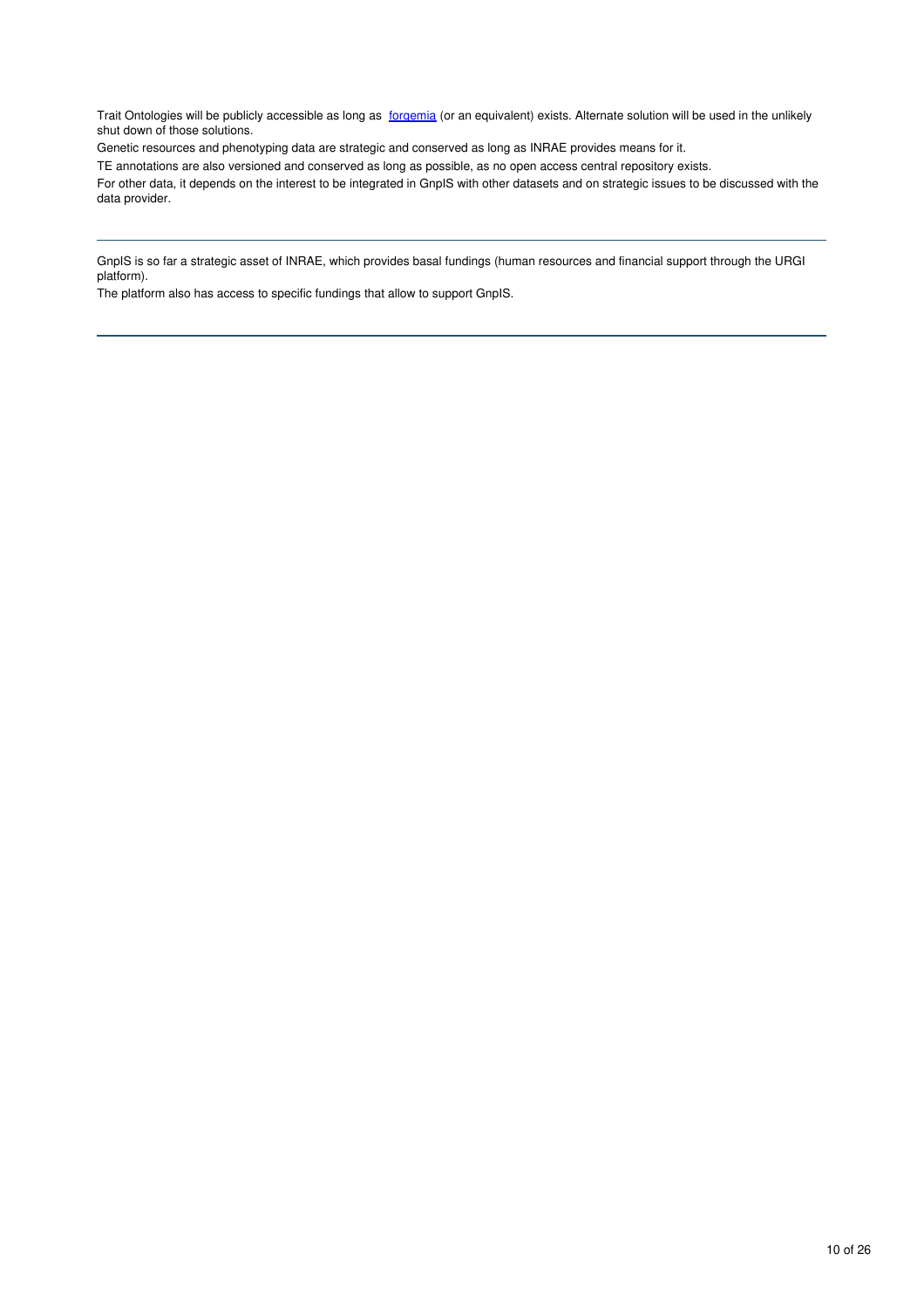Trait Ontologies will be publicly accessible as long as [forgemia](https://forgemia.inra.fr/) (or an equivalent) exists. Alternate solution will be used in the unlikely shut down of those solutions.

Genetic resources and phenotyping data are strategic and conserved as long as INRAE provides means for it.

TE annotations are also versioned and conserved as long as possible, as no open access central repository exists.

For other data, it depends on the interest to be integrated in GnpIS with other datasets and on strategic issues to be discussed with the data provider.

GnpIS is so far a strategic asset of INRAE, which provides basal fundings (human resources and financial support through the URGI platform).

The platform also has access to specific fundings that allow to support GnpIS.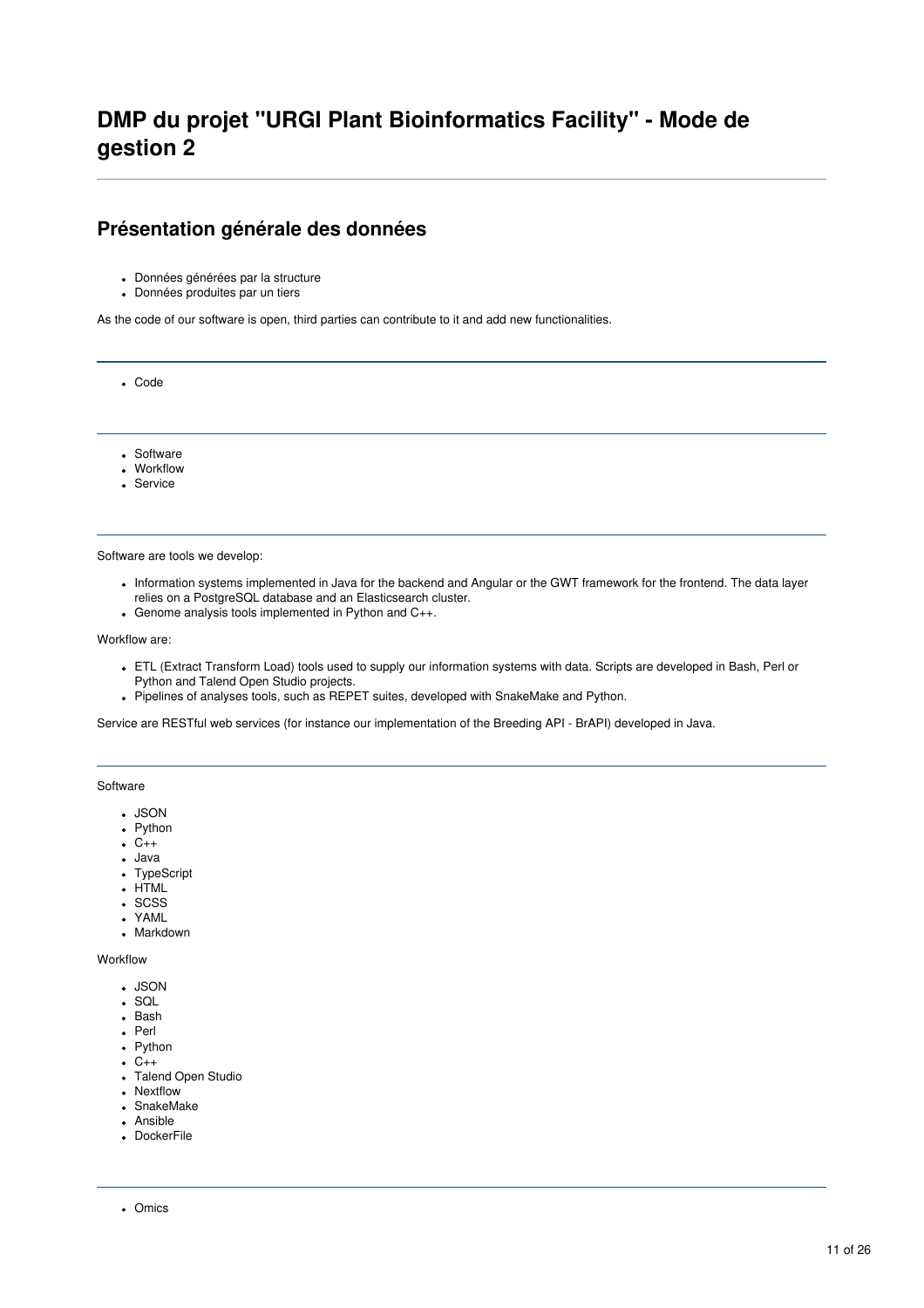#### **Présentation générale des données**

- Données générées par la structure
- Données produites par un tiers

As the code of our software is open, third parties can contribute to it and add new functionalities.

Code

- Software
- Workflow
- Service

Software are tools we develop:

- Information systems implemented in Java for the backend and Angular or the GWT framework for the frontend. The data layer relies on a PostgreSQL database and an Elasticsearch cluster.
- Genome analysis tools implemented in Python and C++.

#### Workflow are:

- ETL (Extract Transform Load) tools used to supply our information systems with data. Scripts are developed in Bash, Perl or Python and Talend Open Studio projects.
- Pipelines of analyses tools, such as REPET suites, developed with SnakeMake and Python.

Service are RESTful web services (for instance our implementation of the Breeding API - BrAPI) developed in Java.

#### **Software**

- JSON
- Python
- $\bullet$  C++
- Java
- TypeScript
- HTML
- . SCSS
- YAML
- Markdown

Workflow

- JSON
- SQL
- Bash
- Perl
- Python
- $\cdot C_{++}$
- Talend Open Studio
- Nextflow
- SnakeMake
- Ansible
- DockerFile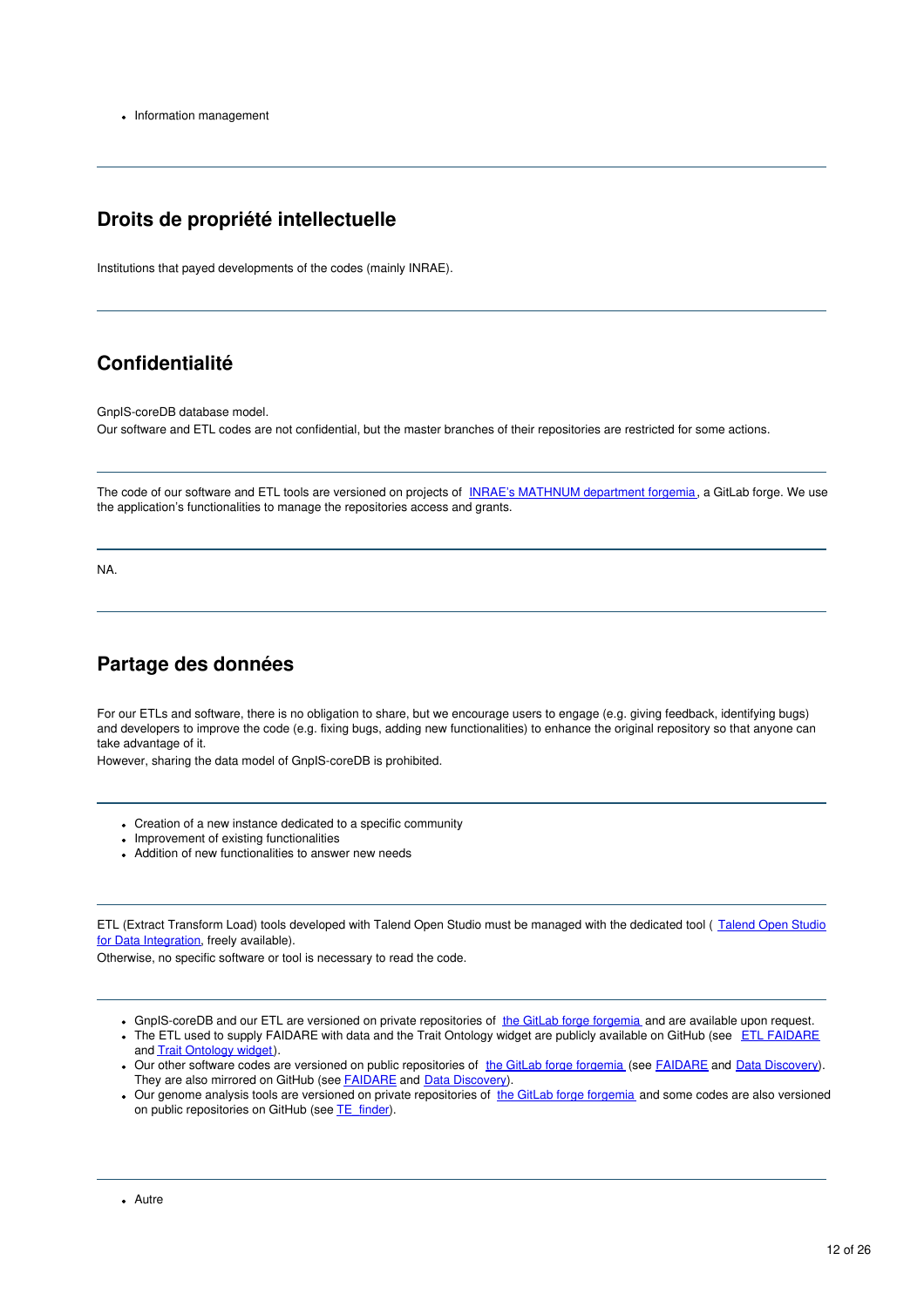• Information management

#### **Droits de propriété intellectuelle**

Institutions that payed developments of the codes (mainly INRAE).

### **Confidentialité**

GnpIS-coreDB database model.

Our software and ETL codes are not confidential, but the master branches of their repositories are restricted for some actions.

The code of our software and ETL tools are versioned on projects of INRAE's [MATHNUM](https://forgemia.inra.fr/) department forgemia, a GitLab forge. We use the application's functionalities to manage the repositories access and grants.

NA.

### **Partage des données**

For our ETLs and software, there is no obligation to share, but we encourage users to engage (e.g. giving feedback, identifying bugs) and developers to improve the code (e.g. fixing bugs, adding new functionalities) to enhance the original repository so that anyone can take advantage of it.

However, sharing the data model of GnpIS-coreDB is prohibited.

- Creation of a new instance dedicated to a specific community
- Improvement of existing functionalities
- Addition of new functionalities to answer new needs

ETL (Extract Transform Load) tools developed with Talend Open Studio must be managed with the dedicated tool ( Talend Open Studio for Data [Integration,](https://www.talend.com/fr/products/data-integration/data-integration-open-studio/) freely available).

Otherwise, no specific software or tool is necessary to read the code.

- GnpIS-coreDB and our ETL are versioned on private repositories of the GitLab forge [forgemia](https://forgemia.inra.fr/) and are available upon request.
- . The ETL used to supply [FAIDARE](https://github.com/elixir-europe/plant-brapi-etl-faidare) with data and the Trait Ontology widget are publicly available on GitHub (see ETL FAIDARE and Trait [Ontology](https://github.com/gnpis/trait-ontology-widget) widget).
- . Our other software codes are versioned on public repositories of the GitLab forge [forgemia](https://forgemia.inra.fr/) (see [FAIDARE](https://forgemia.inra.fr/urgi-is/faidare) and Data [Discovery](https://forgemia.inra.fr/urgi-is/data-discovery)). They are also mirrored on GitHub (see **[FAIDARE](https://github.com/elixir-europe/plant-faidare)** and **Data [Discovery](https://github.com/gnpis/DataDiscovery)**).
- Our genome analysis tools are versioned on private repositories of the GitLab forge [forgemia](https://forgemia.inra.fr/) and some codes are also versioned on public repositories on GitHub (see [TE\\_finder](https://github.com/urgi-anagen/TE_finder)).

Autre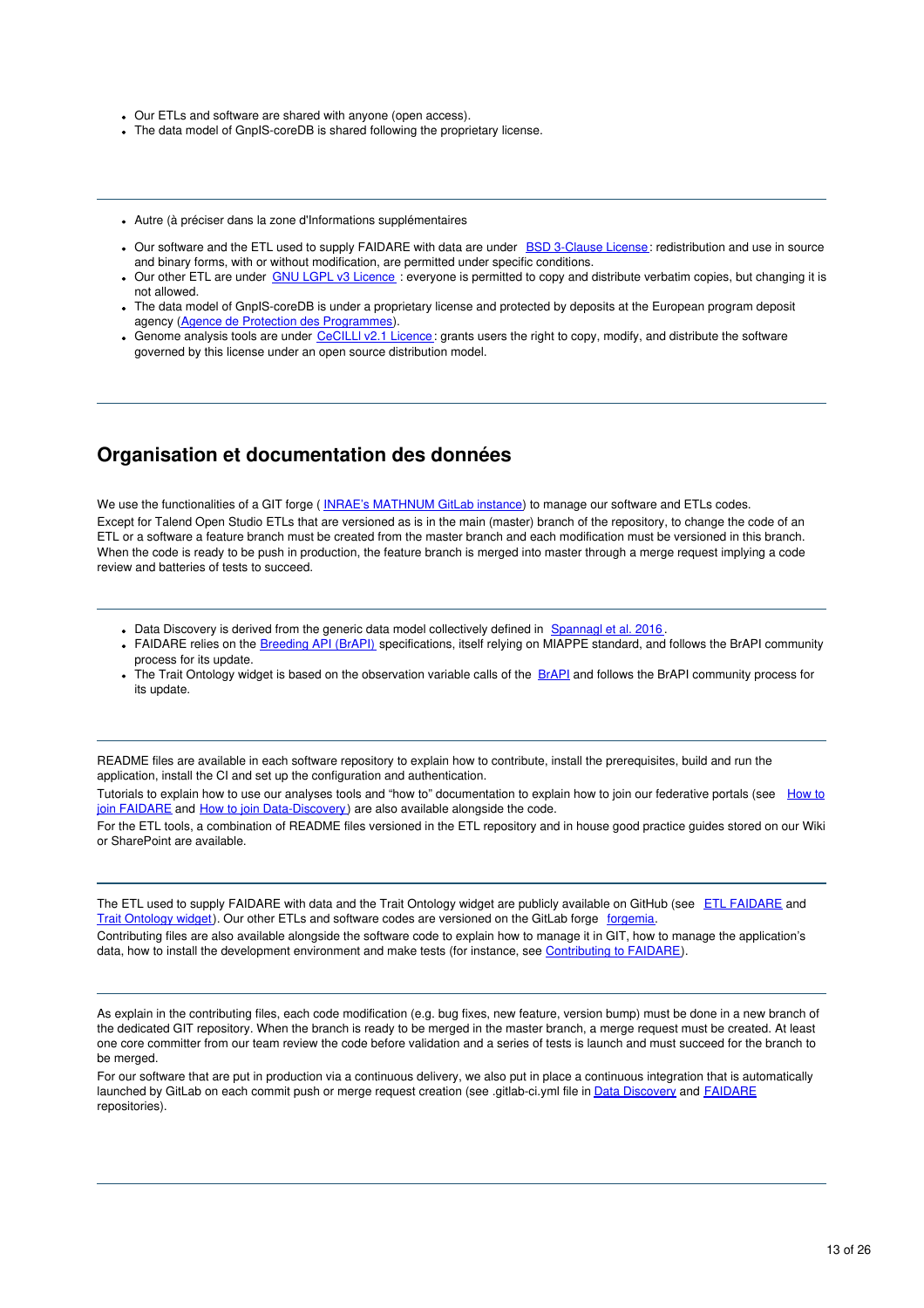- Our ETLs and software are shared with anyone (open access).
- The data model of GnpIS-coreDB is shared following the proprietary license.
- Autre (à préciser dans la zone d'Informations supplémentaires
- Our software and the ETL used to supply FAIDARE with data are under **BSD [3-Clause](https://choosealicense.com/licenses/bsd-3-clause/) License**: redistribution and use in source and binary forms, with or without modification, are permitted under specific conditions.
- Our other ETL are under GNU LGPL v3 [Licence](https://choosealicense.com/licenses/lgpl-3.0/) : everyone is permitted to copy and distribute verbatim copies, but changing it is not allowed.
- The data model of GnpIS-coreDB is under a proprietary license and protected by deposits at the European program deposit agency (Agence de Protection des [Programmes](http://www.app.asso.fr/en/welcome.html)).
- Genome analysis tools are under [CeCILLl](https://choosealicense.com/licenses/cecill-2.1/) v2.1 Licence: grants users the right to copy, modify, and distribute the software governed by this license under an open source distribution model.

#### **Organisation et documentation des données**

We use the functionalities of a GIT forge (INRAE's [MATHNUM](https://forgemia.inra.fr/) GitLab instance) to manage our software and ETLs codes. Except for Talend Open Studio ETLs that are versioned as is in the main (master) branch of the repository, to change the code of an ETL or a software a feature branch must be created from the master branch and each modification must be versioned in this branch. When the code is ready to be push in production, the feature branch is merged into master through a merge request implying a code review and batteries of tests to succeed.

- . Data Discovery is derived from the generic data model collectively defined in [Spannagl](https://www.ncbi.nlm.nih.gov/pubmed/27898761) et al. 2016.
- FAIDARE relies on the [Breeding](https://brapi.org/) API (BrAPI) specifications, itself relying on MIAPPE standard, and follows the BrAPI community process for its update.
- The Trait Ontology widget is based on the observation variable calls of the [BrAPI](https://brapi.org/) and follows the BrAPI community process for its update.

README files are available in each software repository to explain how to contribute, install the prerequisites, build and run the application, install the CI and set up the configuration and authentication.

Tutorials to explain how to use our analyses tools and "how to" documentation to explain how to join our federative portals (see How to join FAIDARE and How to join [Data-Discovery\)](https://forgemia.inra.fr/urgi-is/faidare/-/blob/master/frontend/src/assets/faidare/HOW-TO-JOIN.md) are also available alongside the code.

For the ETL tools, a combination of README files versioned in the ETL repository and in house good practice guides stored on our Wiki or SharePoint are available.

The ETL used to supply [FAIDARE](https://github.com/elixir-europe/plant-brapi-etl-faidare) with data and the Trait Ontology widget are publicly available on GitHub (see ETL FAIDARE and Trait [Ontology](https://github.com/gnpis/trait-ontology-widget) widget). Our other ETLs and software codes are versioned on the GitLab forge [forgemia](https://forgemia.inra.fr/).

Contributing files are also available alongside the software code to explain how to manage it in GIT, how to manage the application's data, how to install the development environment and make tests (for instance, see [Contributing](https://forgemia.inra.fr/urgi-is/data-discovery/-/blob/master/CONTRIBUTING.MD) to FAIDARE).

As explain in the contributing files, each code modification (e.g. bug fixes, new feature, version bump) must be done in a new branch of the dedicated GIT repository. When the branch is ready to be merged in the master branch, a merge request must be created. At least one core committer from our team review the code before validation and a series of tests is launch and must succeed for the branch to be merged.

For our software that are put in production via a continuous delivery, we also put in place a continuous integration that is automatically launched by GitLab on each commit push or merge request creation (see .gitlab-ci.yml file in Data [Discovery](https://forgemia.inra.fr/urgi-is/data-discovery) and [FAIDARE](https://forgemia.inra.fr/urgi-is/faidare) repositories).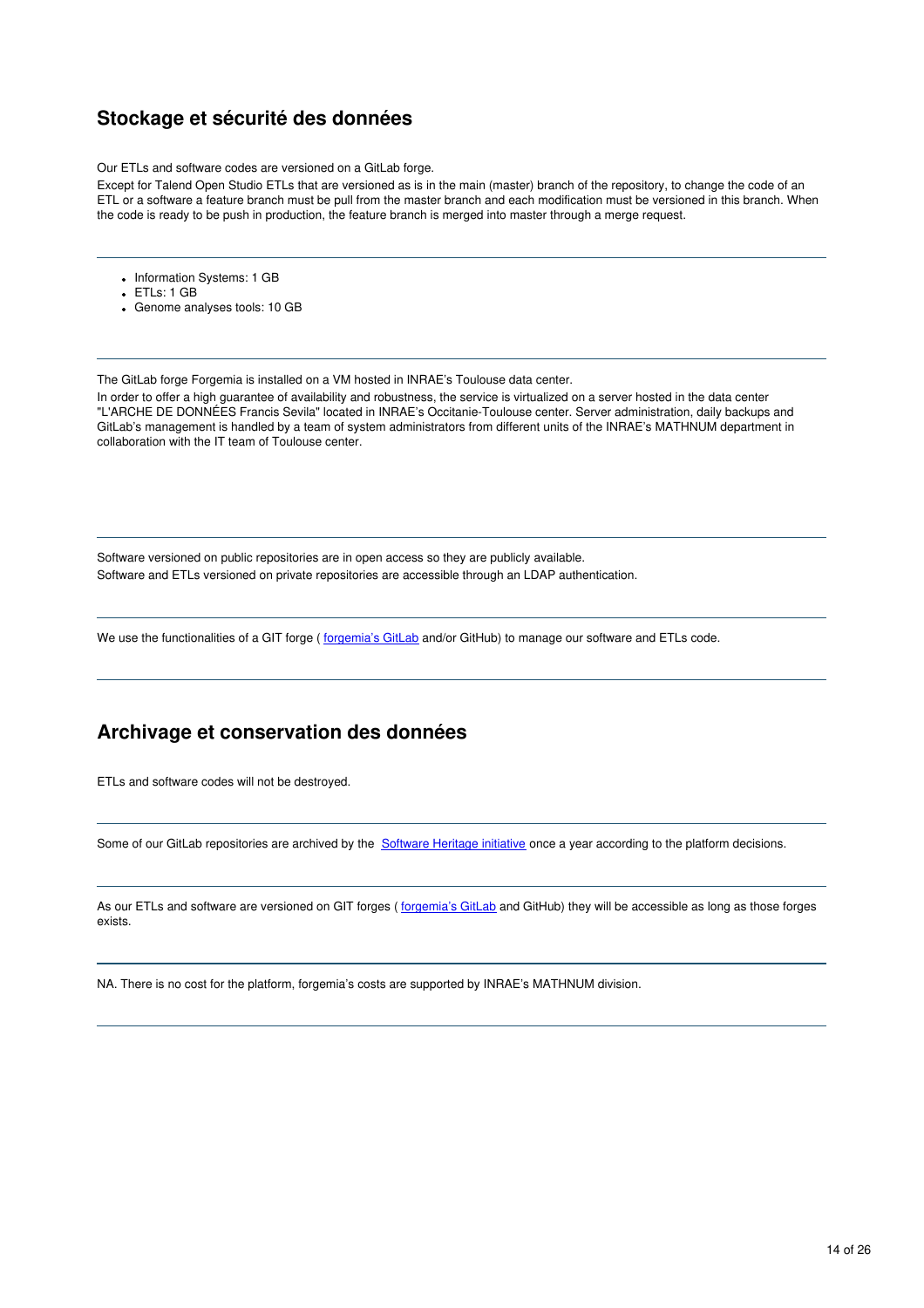### **Stockage et sécurité des données**

Our ETLs and software codes are versioned on a GitLab forge.

Except for Talend Open Studio ETLs that are versioned as is in the main (master) branch of the repository, to change the code of an ETL or a software a feature branch must be pull from the master branch and each modification must be versioned in this branch. When the code is ready to be push in production, the feature branch is merged into master through a merge request.

- Information Systems: 1 GB
- ETLs: 1 GB
- Genome analyses tools: 10 GB

The GitLab forge Forgemia is installed on a VM hosted in INRAE's Toulouse data center.

In order to offer a high guarantee of availability and robustness, the service is virtualized on a server hosted in the data center "L'ARCHE DE DONNÉES Francis Sevila" located in INRAE's Occitanie-Toulouse center. Server administration, daily backups and GitLab's management is handled by a team of system administrators from different units of the INRAE's MATHNUM department in collaboration with the IT team of Toulouse center.

Software versioned on public repositories are in open access so they are publicly available. Software and ETLs versioned on private repositories are accessible through an LDAP authentication.

We use the functionalities of a GIT forge ( [forgemia's](https://forgemia.inra.fr/) GitLab and/or GitHub) to manage our software and ETLs code.

#### **Archivage et conservation des données**

ETLs and software codes will not be destroyed.

Some of our GitLab repositories are archived by the **[Software](https://archive.softwareheritage.org/browse/search/?q=urgi-is&with_visit=true&with_content=true) Heritage initiative** once a year according to the platform decisions.

As our ETLs and software are versioned on GIT forges ([forgemia's](https://forgemia.inra.fr/) GitLab and GitHub) they will be accessible as long as those forges exists.

NA. There is no cost for the platform, forgemia's costs are supported by INRAE's MATHNUM division.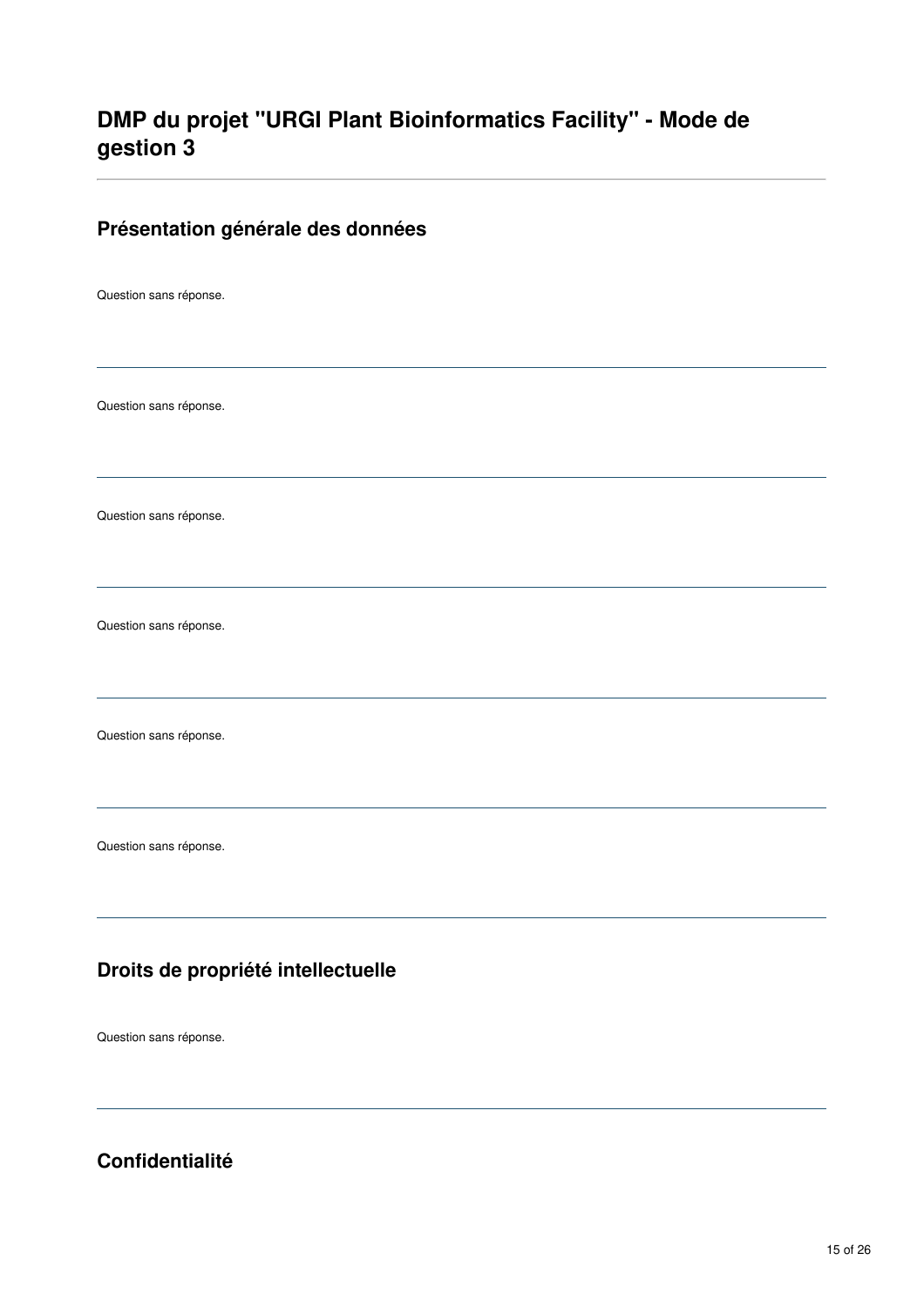# **DMP du projet "URGI Plant Bioinformatics Facility" - Mode de gestion 3**

#### **Présentation générale des données**

Question sans réponse.

Question sans réponse.

Question sans réponse.

Question sans réponse.

Question sans réponse.

Question sans réponse.

## **Droits de propriété intellectuelle**

Question sans réponse.

**Confidentialité**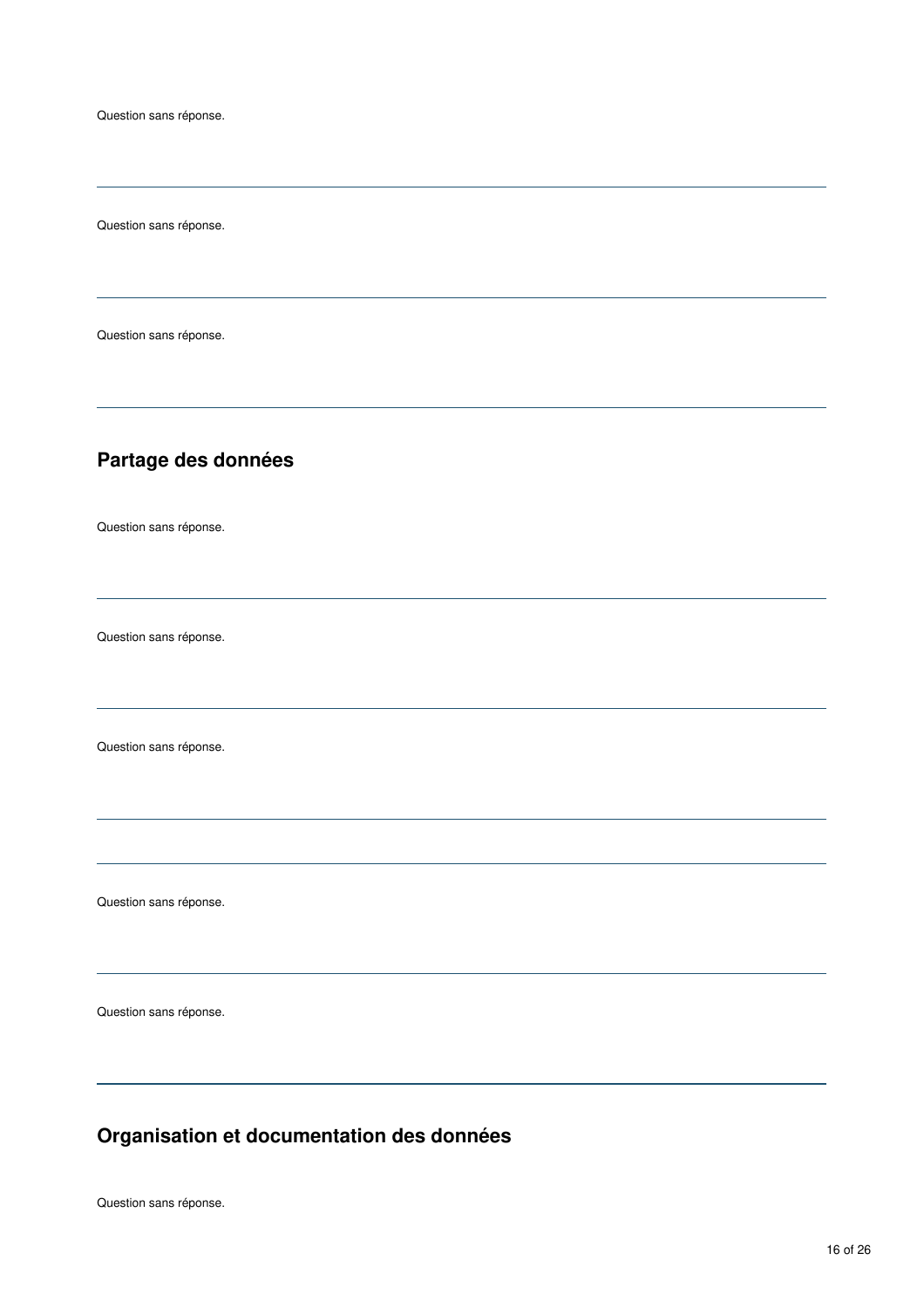Question sans réponse.

Question sans réponse.

## **Partage des données**

Question sans réponse.

Question sans réponse.

Question sans réponse.

Question sans réponse.

Question sans réponse.

# **Organisation et documentation des données**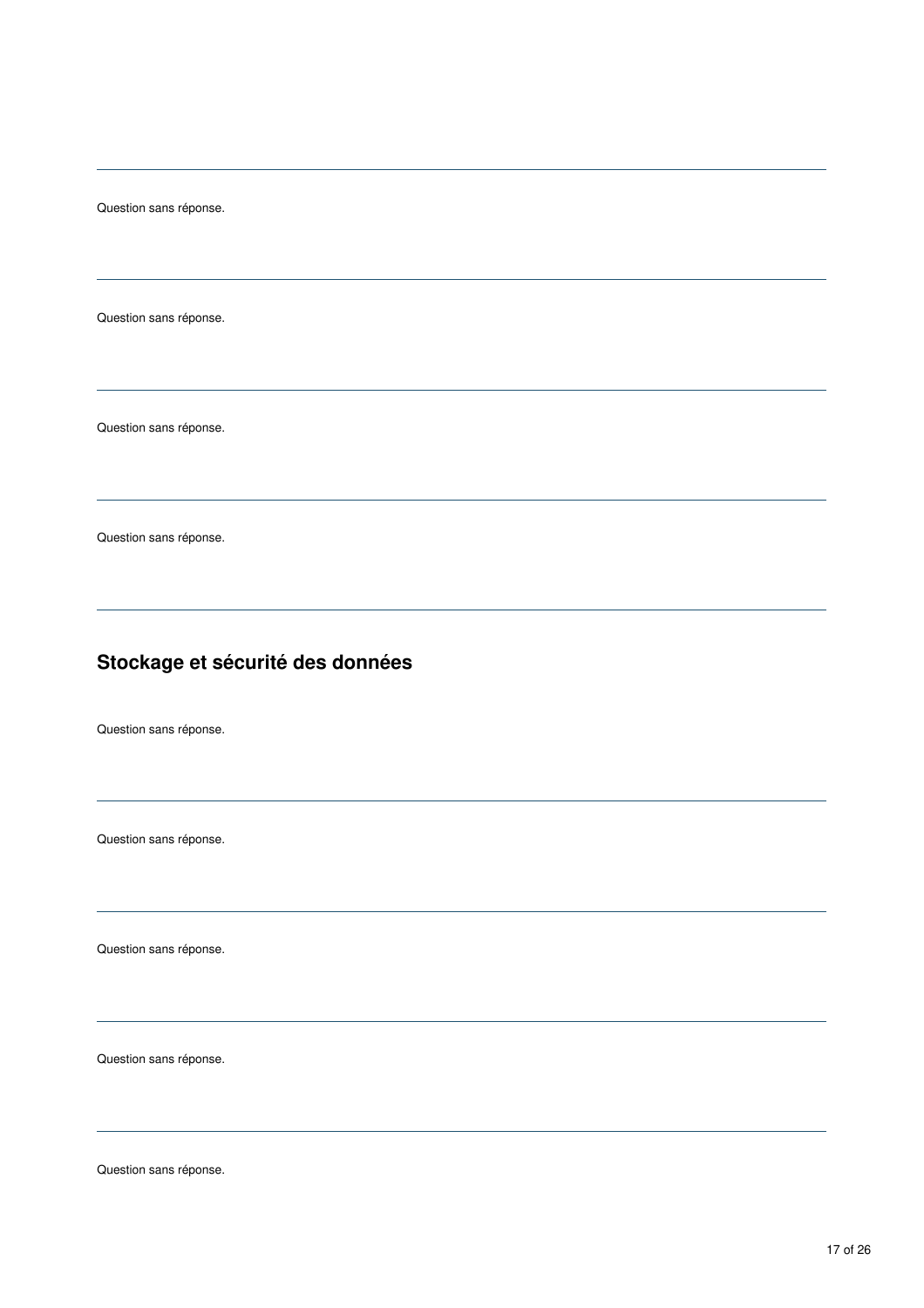Question sans réponse.

Question sans réponse.

Question sans réponse.

# **Stockage et sécurité des données**

Question sans réponse.

Question sans réponse.

Question sans réponse.

Question sans réponse.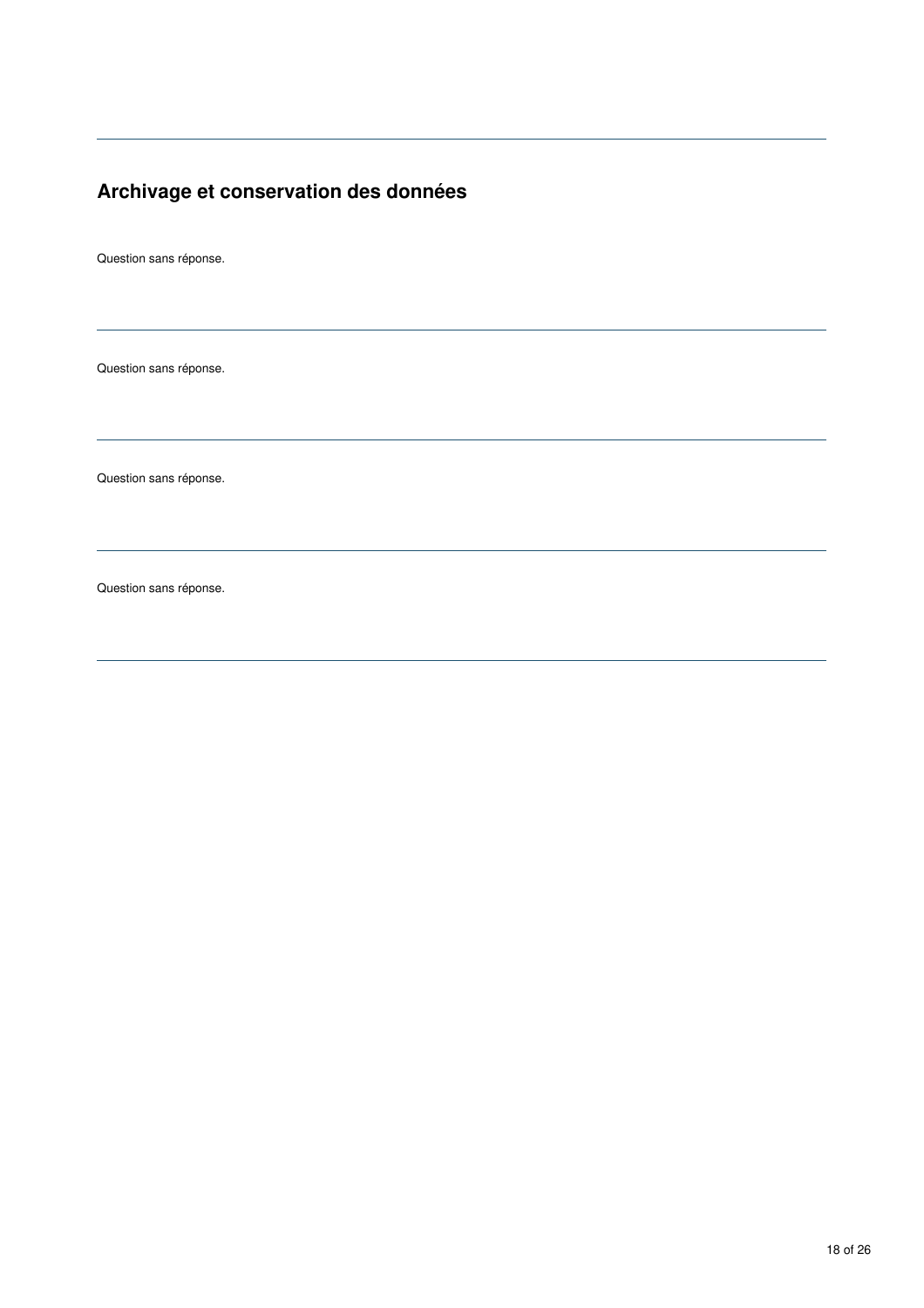# **Archivage et conservation des données**

Question sans réponse.

Question sans réponse.

Question sans réponse.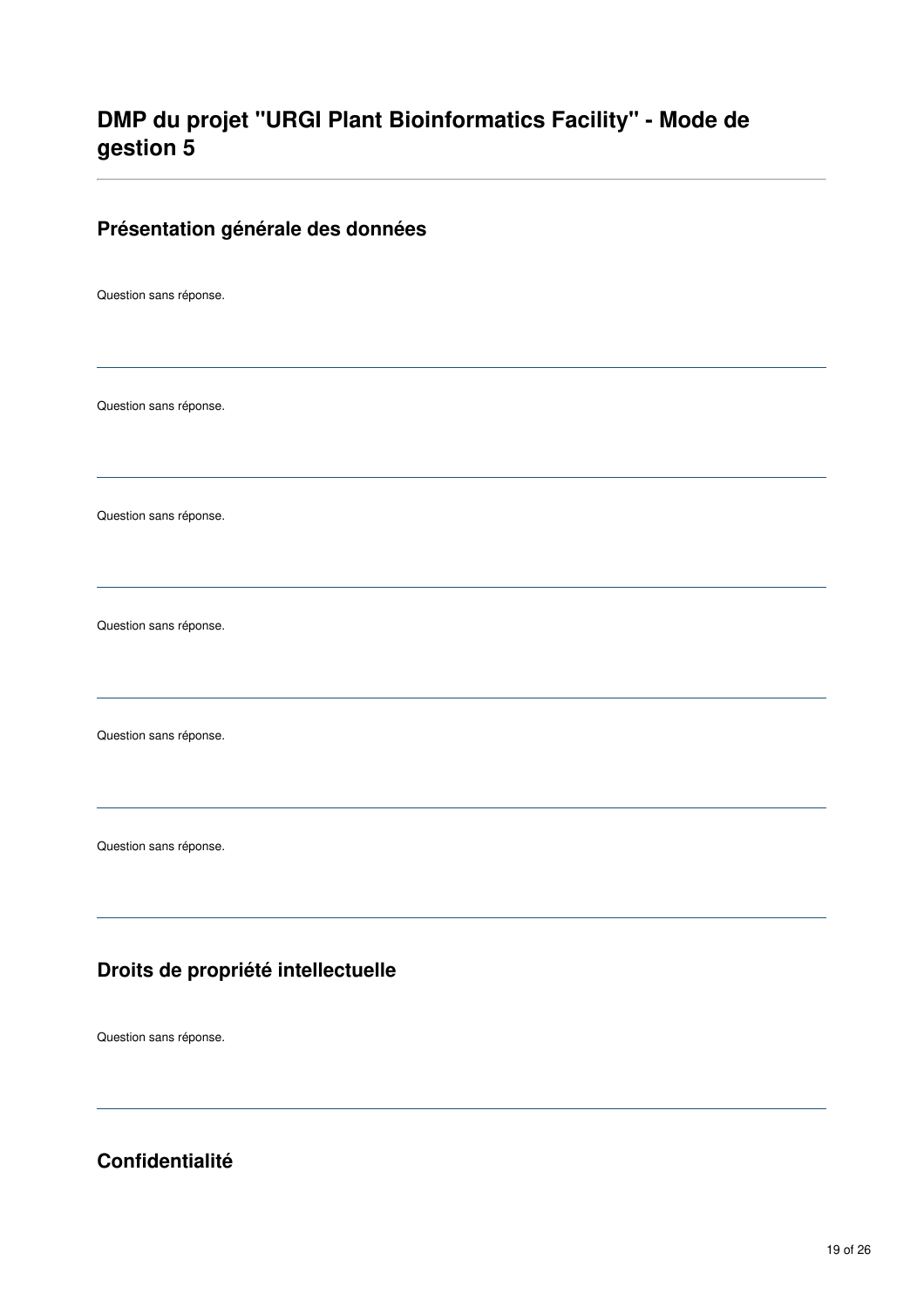# **DMP du projet "URGI Plant Bioinformatics Facility" - Mode de gestion 5**

#### **Présentation générale des données**

Question sans réponse.

Question sans réponse.

Question sans réponse.

Question sans réponse.

Question sans réponse.

Question sans réponse.

### **Droits de propriété intellectuelle**

Question sans réponse.

**Confidentialité**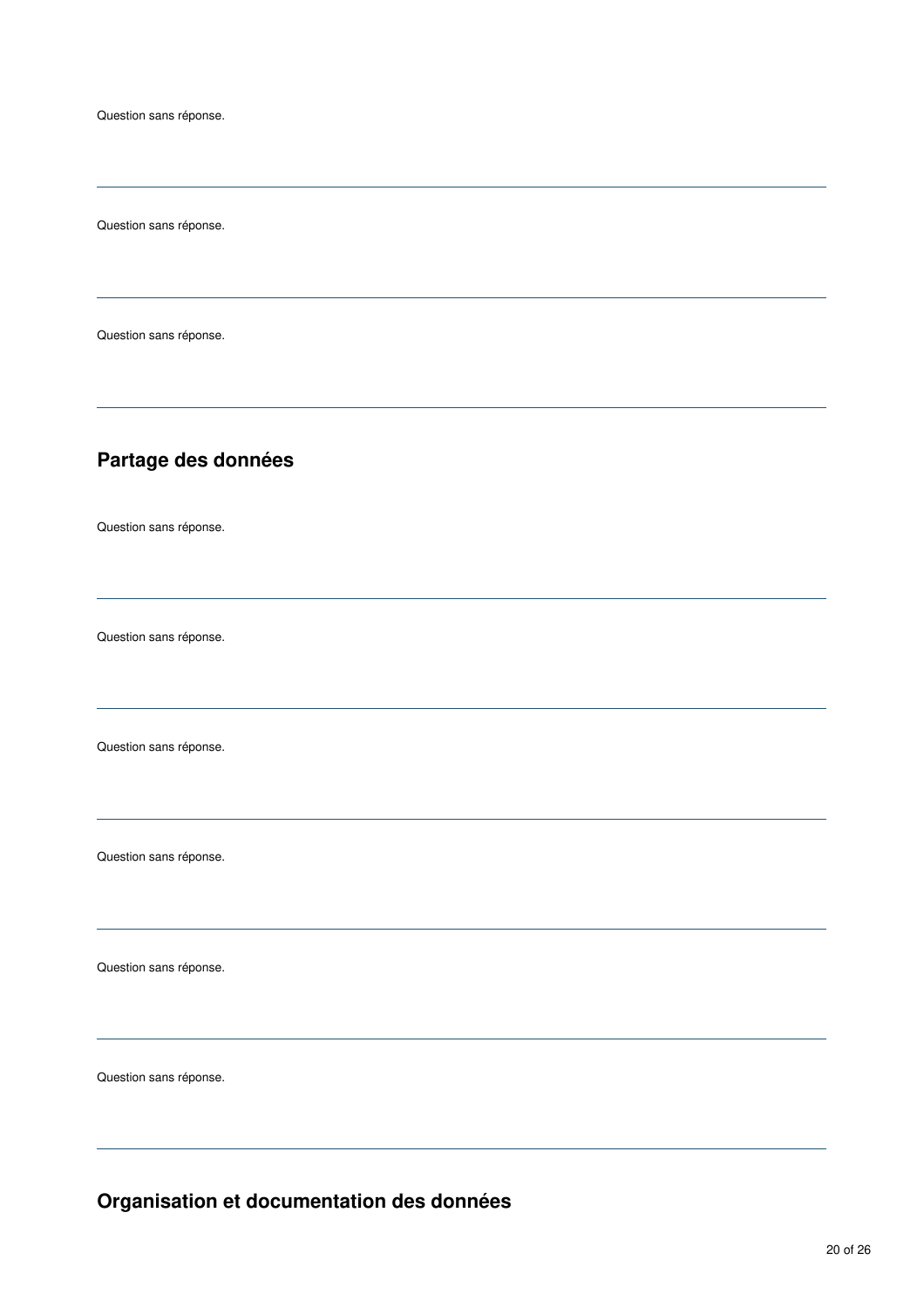Question sans réponse.

Question sans réponse.

## **Partage des données**

Question sans réponse.

Question sans réponse.

Question sans réponse.

Question sans réponse.

Question sans réponse.

Question sans réponse.

**Organisation et documentation des données**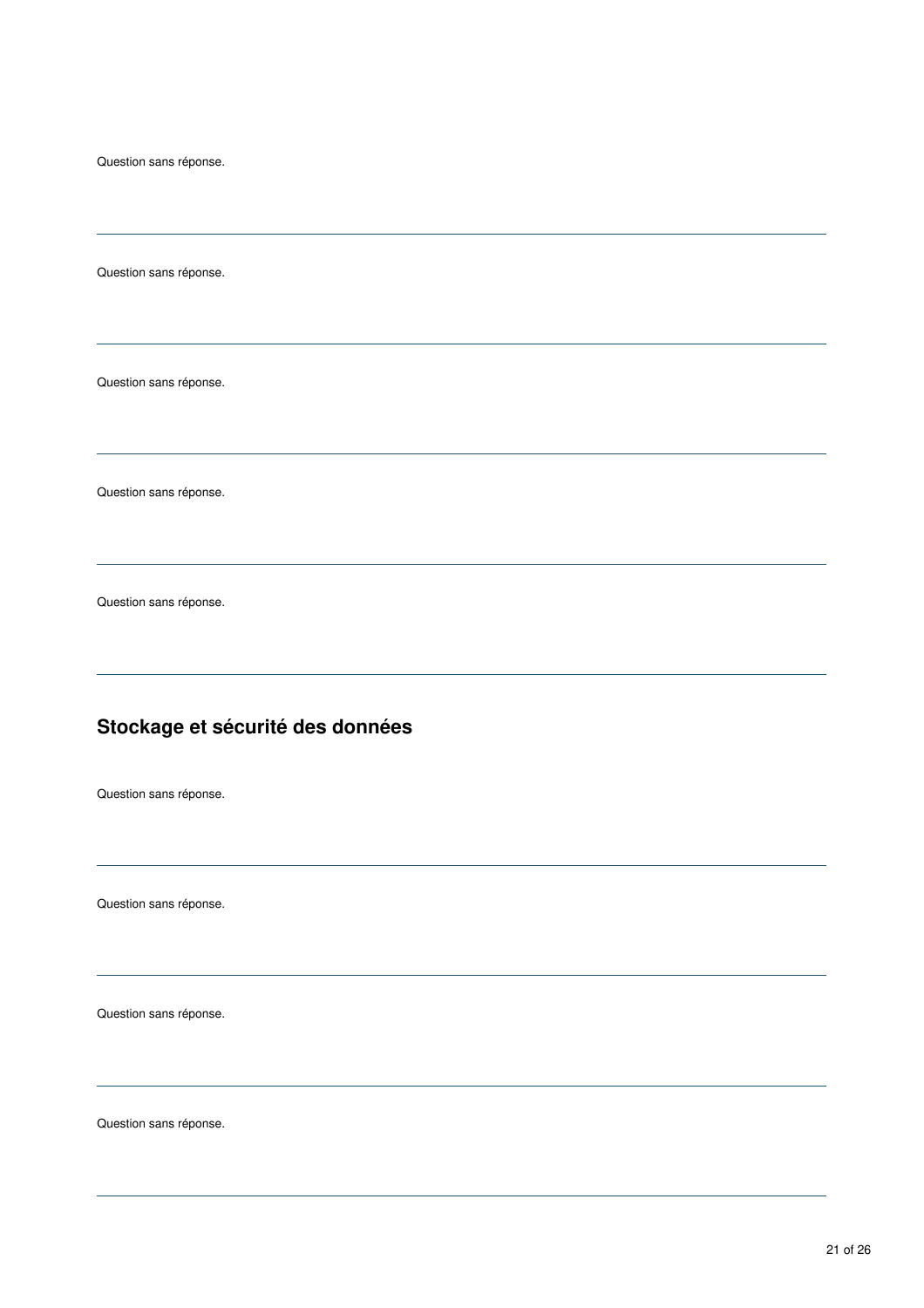Question sans réponse.

Question sans réponse.

Question sans réponse.

Question sans réponse.

# **Stockage et sécurité des données**

Question sans réponse.

Question sans réponse.

Question sans réponse.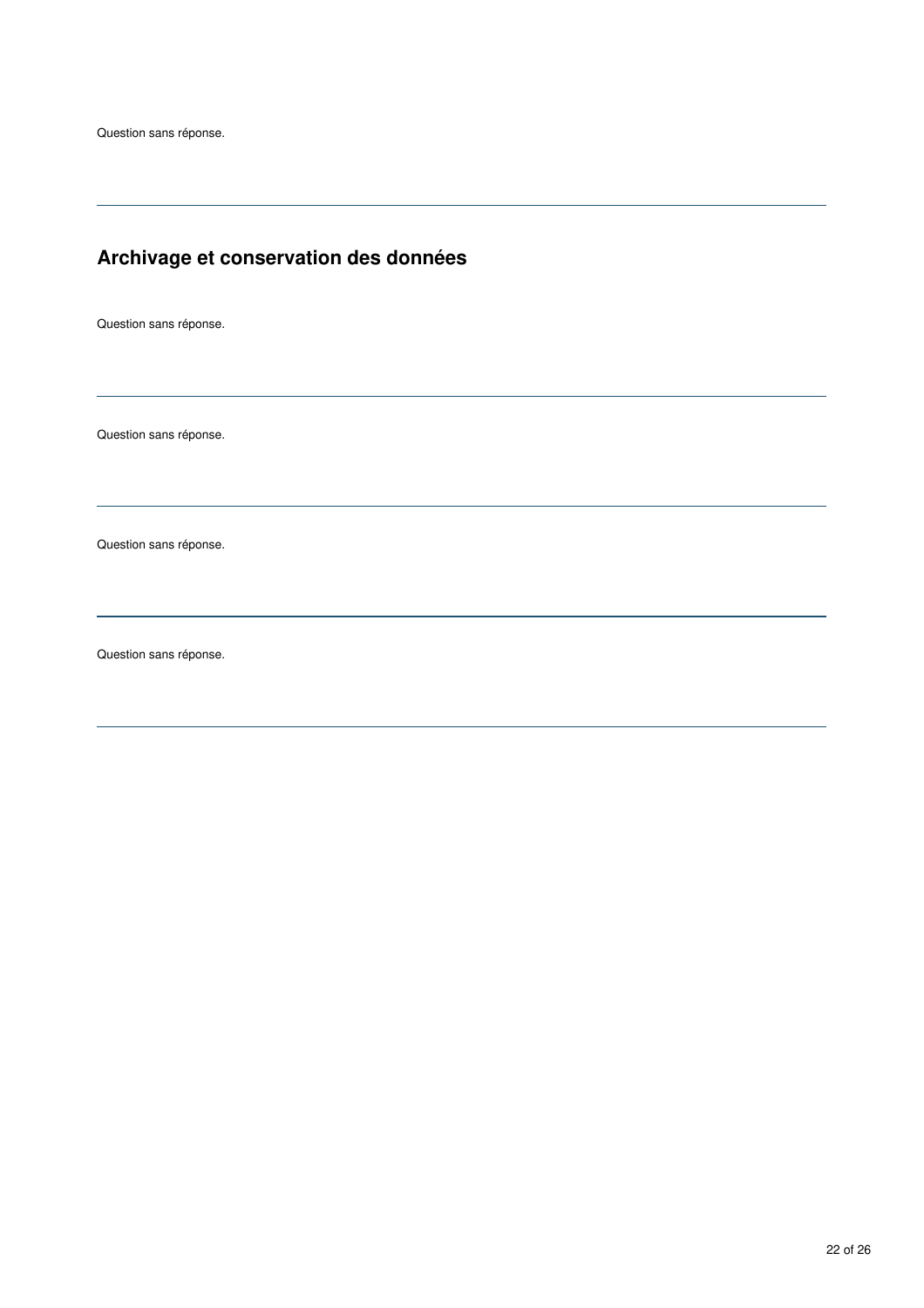# **Archivage et conservation des données**

Question sans réponse.

Question sans réponse.

Question sans réponse.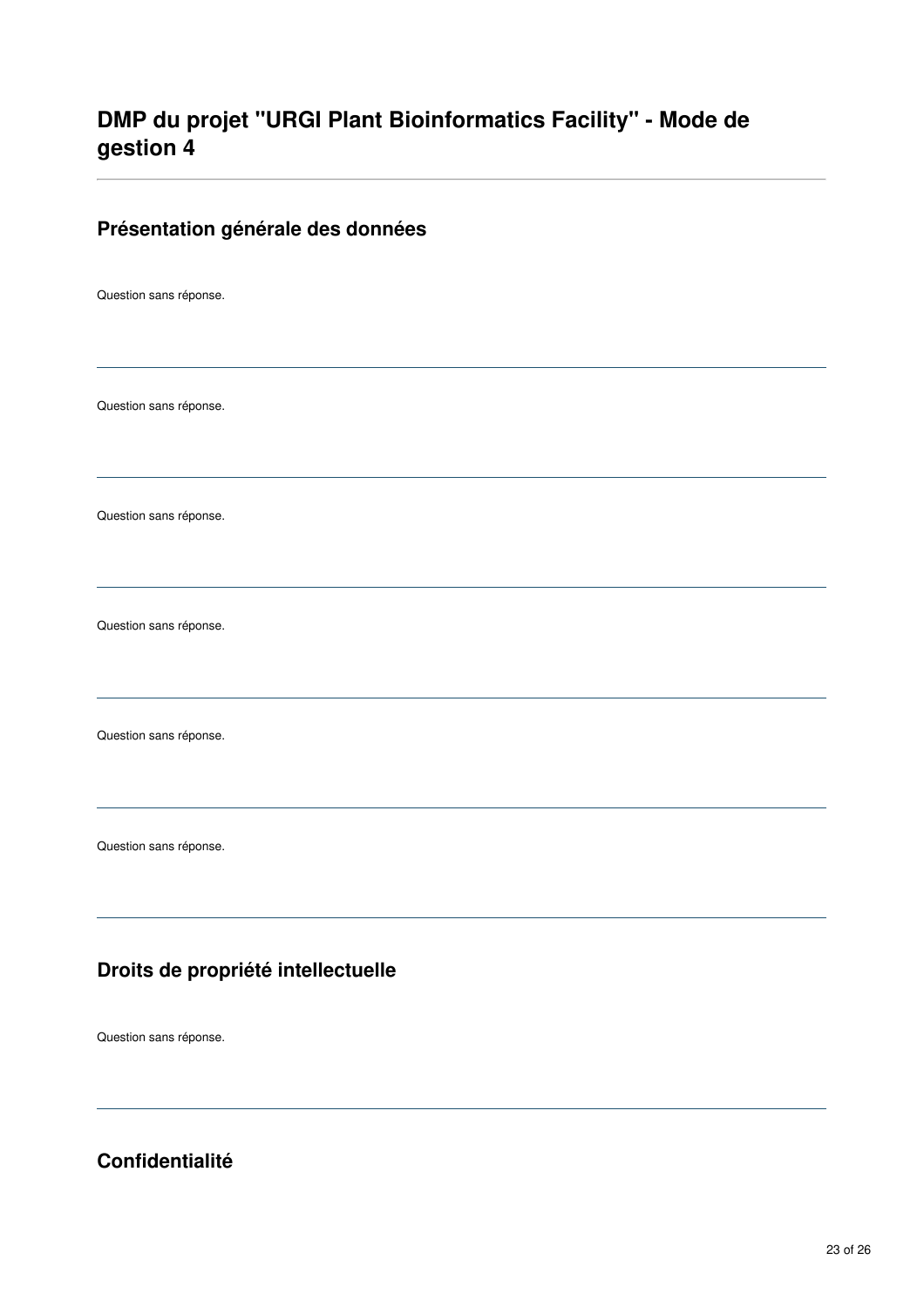# **DMP du projet "URGI Plant Bioinformatics Facility" - Mode de gestion 4**

#### **Présentation générale des données**

Question sans réponse.

Question sans réponse.

Question sans réponse.

Question sans réponse.

Question sans réponse.

Question sans réponse.

## **Droits de propriété intellectuelle**

Question sans réponse.

**Confidentialité**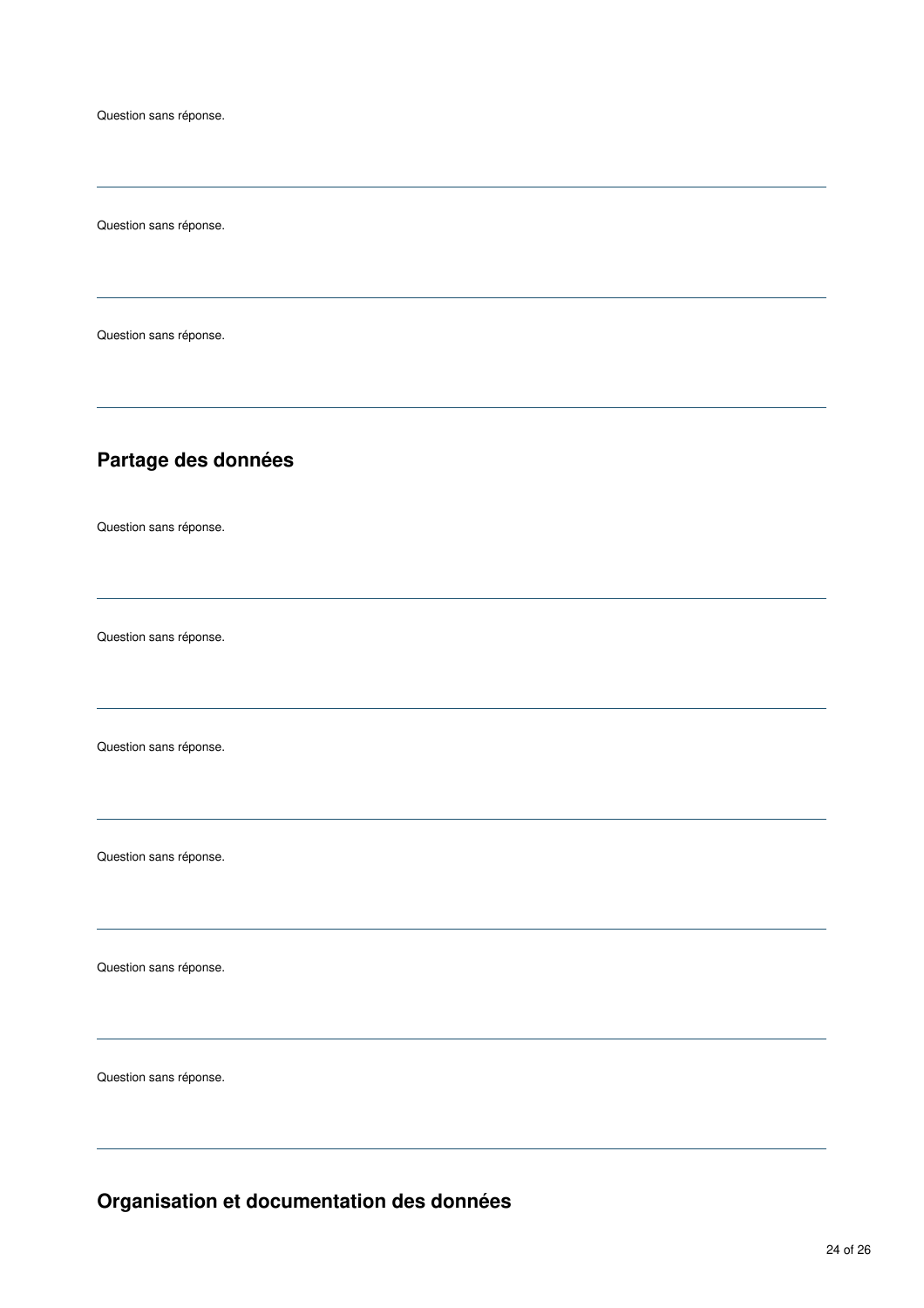Question sans réponse.

Question sans réponse.

## **Partage des données**

Question sans réponse.

Question sans réponse.

Question sans réponse.

Question sans réponse.

Question sans réponse.

Question sans réponse.

**Organisation et documentation des données**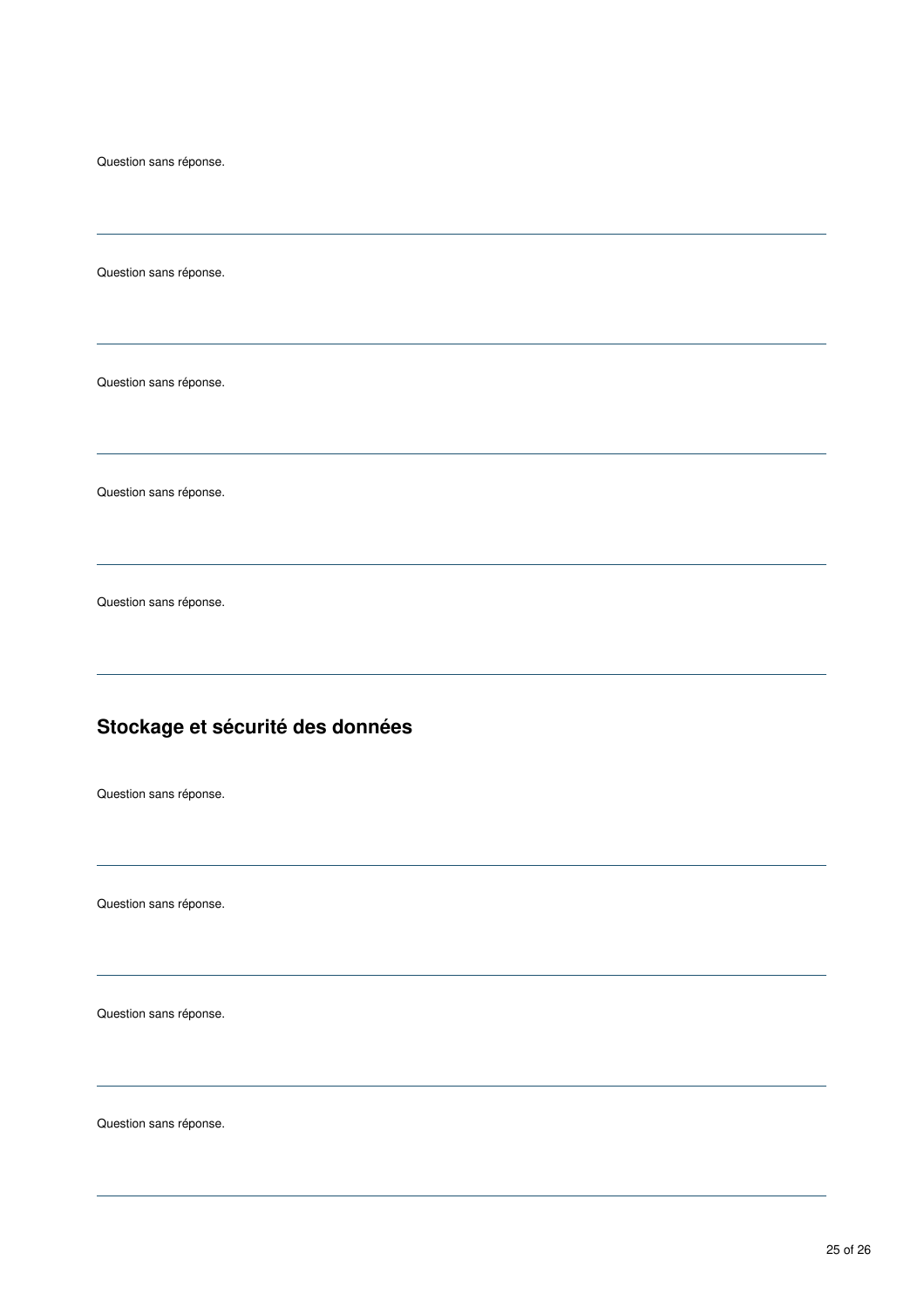Question sans réponse.

Question sans réponse.

Question sans réponse.

Question sans réponse.

# **Stockage et sécurité des données**

Question sans réponse.

Question sans réponse.

Question sans réponse.